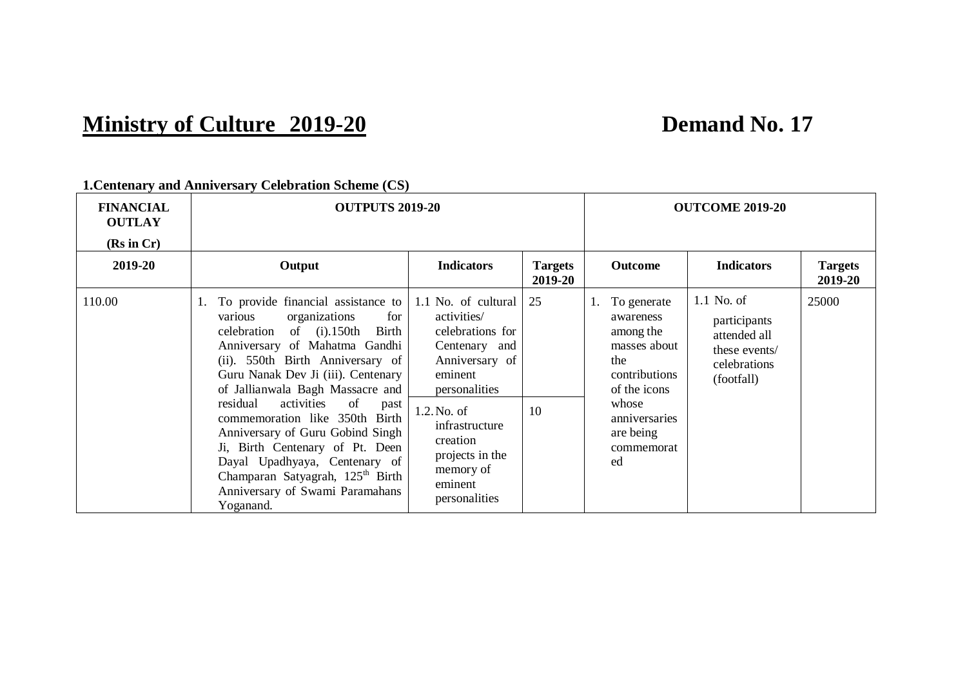## **Ministry of Culture** 2019-20<br>**Demand No. 17**

| <b>FINANCIAL</b><br><b>OUTLAY</b><br>(Rs in Cr) | <b>OUTPUTS 2019-20</b>                                                                                                                                                                                                                                                                                                                                                                                                                                                                                                                      |                                                                                                                                                                                                                                   |                           |                                                                                                                                                             | <b>OUTCOME 2019-20</b>                                                                      |                           |
|-------------------------------------------------|---------------------------------------------------------------------------------------------------------------------------------------------------------------------------------------------------------------------------------------------------------------------------------------------------------------------------------------------------------------------------------------------------------------------------------------------------------------------------------------------------------------------------------------------|-----------------------------------------------------------------------------------------------------------------------------------------------------------------------------------------------------------------------------------|---------------------------|-------------------------------------------------------------------------------------------------------------------------------------------------------------|---------------------------------------------------------------------------------------------|---------------------------|
| 2019-20                                         | Output                                                                                                                                                                                                                                                                                                                                                                                                                                                                                                                                      | <b>Indicators</b>                                                                                                                                                                                                                 | <b>Targets</b><br>2019-20 | <b>Outcome</b>                                                                                                                                              | <b>Indicators</b>                                                                           | <b>Targets</b><br>2019-20 |
| 110.00                                          | 1. To provide financial assistance to<br>organizations<br>for<br>various<br>celebration of (i).150th Birth<br>Anniversary of Mahatma Gandhi<br>(ii). 550th Birth Anniversary of<br>Guru Nanak Dev Ji (iii). Centenary<br>of Jallianwala Bagh Massacre and<br>activities<br>residual<br>of<br>past<br>commemoration like 350th Birth<br>Anniversary of Guru Gobind Singh<br>Ji, Birth Centenary of Pt. Deen<br>Dayal Upadhyaya, Centenary of<br>Champaran Satyagrah, 125 <sup>th</sup> Birth<br>Anniversary of Swami Paramahans<br>Yoganand. | 1.1 No. of cultural<br>activities/<br>celebrations for<br>Centenary and<br>Anniversary of<br>eminent<br>personalities<br>$1.2$ . No. of<br>infrastructure<br>creation<br>projects in the<br>memory of<br>eminent<br>personalities | 25<br>10                  | 1. To generate<br>awareness<br>among the<br>masses about<br>the<br>contributions<br>of the icons<br>whose<br>anniversaries<br>are being<br>commemorat<br>ed | $1.1$ No. of<br>participants<br>attended all<br>these events/<br>celebrations<br>(footfall) | 25000                     |

**1.Centenary and Anniversary Celebration Scheme (CS)**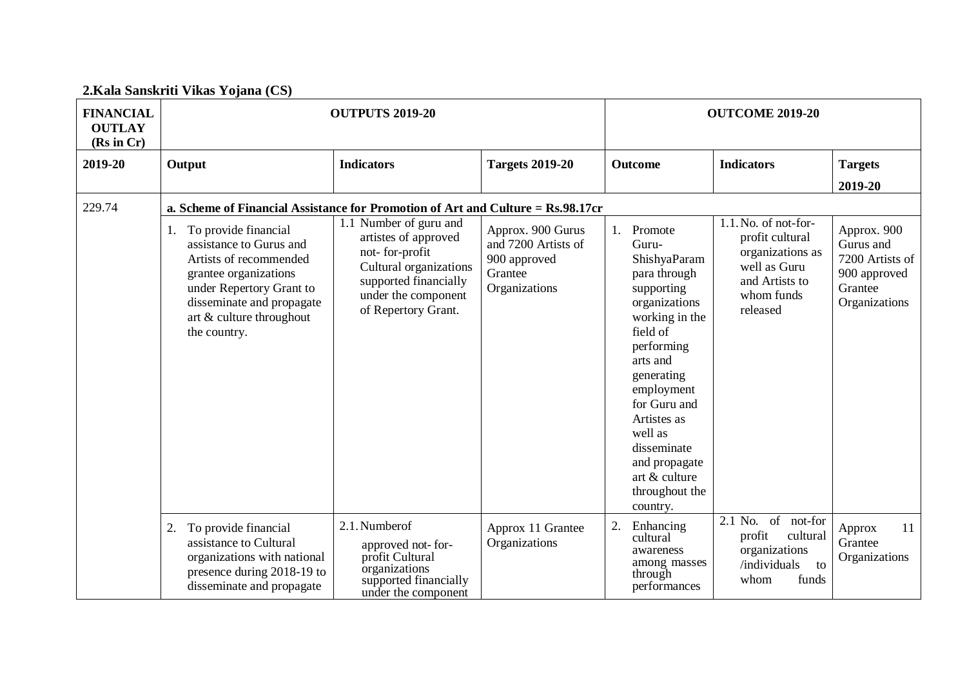|  | 2.Kala Sanskriti Vikas Yojana (CS) |  |  |  |
|--|------------------------------------|--|--|--|
|--|------------------------------------|--|--|--|

| <b>FINANCIAL</b><br><b>OUTLAY</b><br>(Rs in Cr) | <b>OUTPUTS 2019-20</b>                                                                                                                                                                                        |                                                                                                                                                                   |                                                                                      | <b>OUTCOME 2019-20</b>                                                                                                                                                                                                                                                                          |                                                                                                                         |                                                                                         |  |
|-------------------------------------------------|---------------------------------------------------------------------------------------------------------------------------------------------------------------------------------------------------------------|-------------------------------------------------------------------------------------------------------------------------------------------------------------------|--------------------------------------------------------------------------------------|-------------------------------------------------------------------------------------------------------------------------------------------------------------------------------------------------------------------------------------------------------------------------------------------------|-------------------------------------------------------------------------------------------------------------------------|-----------------------------------------------------------------------------------------|--|
| 2019-20                                         | Output                                                                                                                                                                                                        | <b>Indicators</b>                                                                                                                                                 | <b>Targets 2019-20</b>                                                               | <b>Outcome</b>                                                                                                                                                                                                                                                                                  | <b>Indicators</b>                                                                                                       | <b>Targets</b><br>2019-20                                                               |  |
| 229.74                                          | a. Scheme of Financial Assistance for Promotion of Art and Culture = Rs.98.17cr                                                                                                                               |                                                                                                                                                                   |                                                                                      |                                                                                                                                                                                                                                                                                                 |                                                                                                                         |                                                                                         |  |
|                                                 | To provide financial<br>1.<br>assistance to Gurus and<br>Artists of recommended<br>grantee organizations<br>under Repertory Grant to<br>disseminate and propagate<br>art & culture throughout<br>the country. | 1.1 Number of guru and<br>artistes of approved<br>not-for-profit<br>Cultural organizations<br>supported financially<br>under the component<br>of Repertory Grant. | Approx. 900 Gurus<br>and 7200 Artists of<br>900 approved<br>Grantee<br>Organizations | 1. Promote<br>Guru-<br>ShishyaParam<br>para through<br>supporting<br>organizations<br>working in the<br>field of<br>performing<br>arts and<br>generating<br>employment<br>for Guru and<br>Artistes as<br>well as<br>disseminate<br>and propagate<br>art & culture<br>throughout the<br>country. | 1.1. No. of not-for-<br>profit cultural<br>organizations as<br>well as Guru<br>and Artists to<br>whom funds<br>released | Approx. 900<br>Gurus and<br>7200 Artists of<br>900 approved<br>Grantee<br>Organizations |  |
|                                                 | 2.<br>To provide financial<br>assistance to Cultural<br>organizations with national<br>presence during 2018-19 to<br>disseminate and propagate                                                                | 2.1. Number of<br>approved not-for-<br>profit Cultural<br>organizations<br>supported financially<br>under the component                                           | Approx 11 Grantee<br>Organizations                                                   | 2.<br>Enhancing<br>cultural<br>awareness<br>among masses<br>through<br>performances                                                                                                                                                                                                             | 2.1 No.<br>of<br>not-for<br>profit<br>cultural<br>organizations<br>/individuals<br>to<br>funds<br>whom                  | 11<br>Approx<br>Grantee<br>Organizations                                                |  |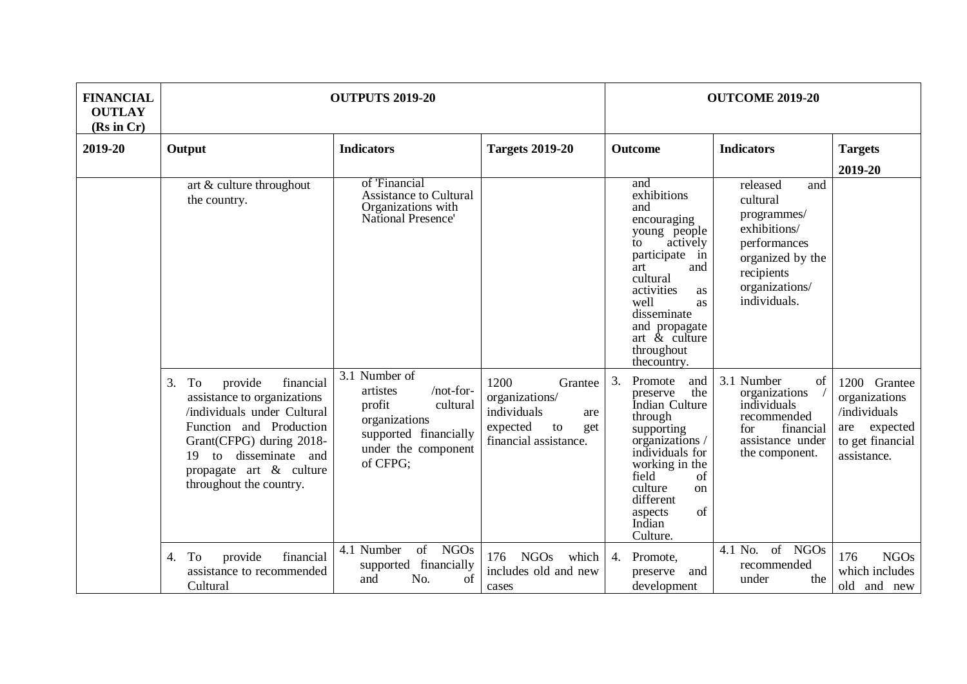| <b>FINANCIAL</b><br><b>OUTLAY</b><br>(Rs in Cr) | <b>OUTPUTS 2019-20</b>                                                                                                                                                                                                                     | <b>OUTCOME 2019-20</b>                                                                                                                    |                                                                                                           |                                                                                                                                                                                                                                              |                                                                                                                                                |                                                                                                     |
|-------------------------------------------------|--------------------------------------------------------------------------------------------------------------------------------------------------------------------------------------------------------------------------------------------|-------------------------------------------------------------------------------------------------------------------------------------------|-----------------------------------------------------------------------------------------------------------|----------------------------------------------------------------------------------------------------------------------------------------------------------------------------------------------------------------------------------------------|------------------------------------------------------------------------------------------------------------------------------------------------|-----------------------------------------------------------------------------------------------------|
| 2019-20                                         | Output                                                                                                                                                                                                                                     | <b>Indicators</b>                                                                                                                         | <b>Targets 2019-20</b>                                                                                    | Outcome                                                                                                                                                                                                                                      | <b>Indicators</b>                                                                                                                              | <b>Targets</b><br>2019-20                                                                           |
|                                                 | art & culture throughout<br>the country.                                                                                                                                                                                                   | of 'Financial<br><b>Assistance to Cultural</b><br>Organizations with<br>National Presence'                                                |                                                                                                           | and<br>exhibitions<br>and<br>encouraging<br>young people<br>actively<br>to<br>participate<br>in<br>and<br>art<br>cultural<br>activities<br>as<br>well<br>as<br>disseminate<br>and propagate<br>art $\&$ culture<br>throughout<br>thecountry. | released<br>and<br>cultural<br>programmes/<br>exhibitions/<br>performances<br>organized by the<br>recipients<br>organizations/<br>individuals. |                                                                                                     |
|                                                 | To<br>3.<br>provide<br>financial<br>assistance to organizations<br>/individuals under Cultural<br>Function and Production<br>Grant(CFPG) during 2018-<br>disseminate and<br>19<br>to<br>propagate art & culture<br>throughout the country. | 3.1 Number of<br>/not-for-<br>artistes<br>cultural<br>profit<br>organizations<br>supported financially<br>under the component<br>of CFPG; | 1200<br>Grantee<br>organizations/<br>individuals<br>are<br>expected<br>to<br>get<br>financial assistance. | 3.<br>Promote<br>and<br>the<br>preserve<br>Indian Culture<br>through<br>supporting<br>organizations /<br>individuals for<br>working in the<br>field<br>of<br>culture<br><sub>on</sub><br>different<br>of<br>aspects<br>Indian<br>Culture.    | 3.1 Number<br>of<br>organizations<br>individuals<br>recommended<br>financial<br>for<br>assistance under<br>the component.                      | 1200 Grantee<br>organizations<br>/individuals<br>expected<br>are<br>to get financial<br>assistance. |
|                                                 | To<br>provide<br>financial<br>4.<br>assistance to recommended<br>Cultural                                                                                                                                                                  | <b>NGOs</b><br>4.1 Number<br>$\sigma$<br>supported financially<br>No.<br>and<br>of                                                        | 176 NGOs<br>which<br>includes old and new<br>cases                                                        | Promote,<br>4.<br>preserve and<br>development                                                                                                                                                                                                | of NGOs<br>4.1 No.<br>recommended<br>under<br>the                                                                                              | <b>NGOs</b><br>176<br>which includes<br>old and new                                                 |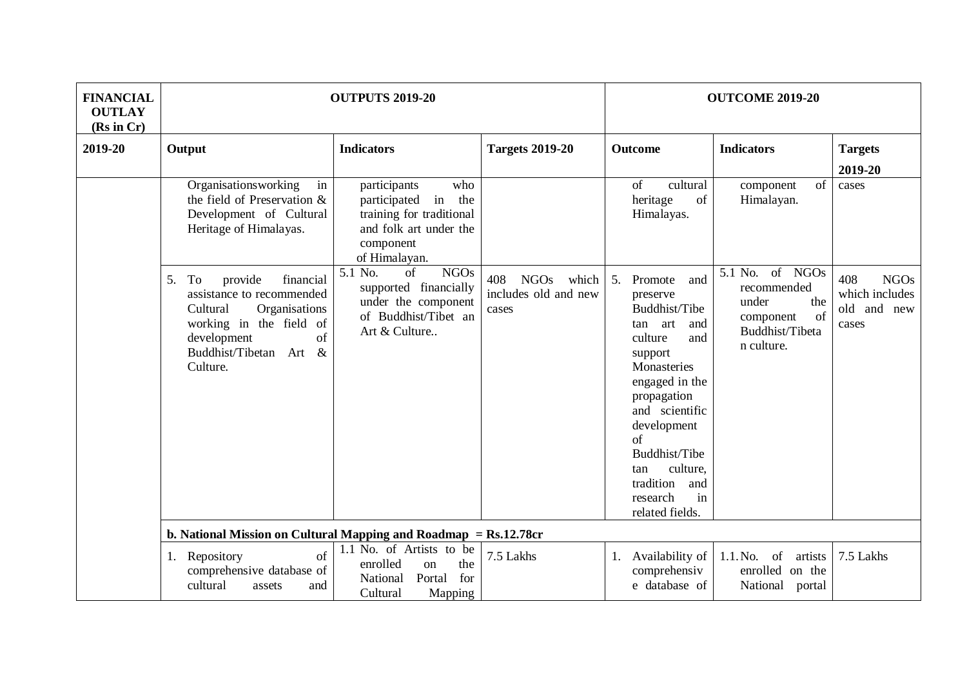| <b>FINANCIAL</b><br><b>OUTLAY</b><br>(Rs in Cr) | <b>OUTPUTS 2019-20</b>                                                                                                                                                                 |                                                                                                                                      |                                                              | <b>OUTCOME 2019-20</b>                                                                                                                                                                                                                                                               |                                                                                                    |                                                              |
|-------------------------------------------------|----------------------------------------------------------------------------------------------------------------------------------------------------------------------------------------|--------------------------------------------------------------------------------------------------------------------------------------|--------------------------------------------------------------|--------------------------------------------------------------------------------------------------------------------------------------------------------------------------------------------------------------------------------------------------------------------------------------|----------------------------------------------------------------------------------------------------|--------------------------------------------------------------|
| 2019-20                                         | Output                                                                                                                                                                                 | <b>Indicators</b>                                                                                                                    | <b>Targets 2019-20</b>                                       | <b>Outcome</b>                                                                                                                                                                                                                                                                       | <b>Indicators</b>                                                                                  | <b>Targets</b><br>2019-20                                    |
|                                                 | Organisationsworking<br>in<br>the field of Preservation &<br>Development of Cultural<br>Heritage of Himalayas.                                                                         | participants<br>who<br>in<br>participated<br>the<br>training for traditional<br>and folk art under the<br>component<br>of Himalayan. |                                                              | of<br>cultural<br>of<br>heritage<br>Himalayas.                                                                                                                                                                                                                                       | of<br>component<br>Himalayan.                                                                      | cases                                                        |
|                                                 | To<br>provide<br>financial<br>5.<br>assistance to recommended<br>Organisations<br>Cultural<br>working in the field of<br>of<br>development<br>Buddhist/Tibetan<br>Art $\&$<br>Culture. | 5.1 No.<br>of<br><b>NGOs</b><br>supported financially<br>under the component<br>of Buddhist/Tibet an<br>Art & Culture                | <b>NGOs</b><br>408<br>which<br>includes old and new<br>cases | 5.<br>Promote<br>and<br>preserve<br>Buddhist/Tibe<br>and<br>tan art<br>culture<br>and<br>support<br>Monasteries<br>engaged in the<br>propagation<br>and scientific<br>development<br>of<br>Buddhist/Tibe<br>culture,<br>tan<br>tradition<br>and<br>in<br>research<br>related fields. | 5.1 No. of NGOs<br>recommended<br>the<br>under<br>of<br>component<br>Buddhist/Tibeta<br>n culture. | 408<br><b>NGOs</b><br>which includes<br>old and new<br>cases |
|                                                 | b. National Mission on Cultural Mapping and Roadmap $=$ Rs.12.78 $cr$<br>Repository<br>of<br>1.<br>comprehensive database of<br>cultural<br>assets<br>and                              | 1.1 No. of Artists to be<br>enrolled<br>the<br><sub>on</sub><br>for<br>National<br>Portal<br>Cultural<br>Mapping                     | 7.5 Lakhs                                                    | 1. Availability of<br>comprehensiv<br>e database of                                                                                                                                                                                                                                  | $1.1$ . No. of<br>artists<br>enrolled on the<br>National portal                                    | 7.5 Lakhs                                                    |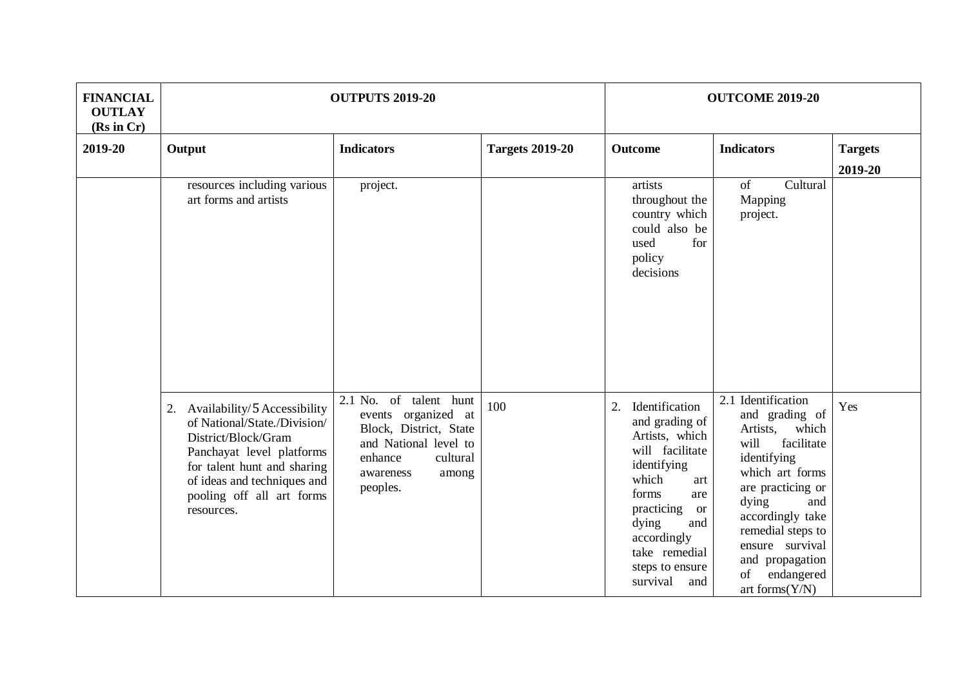| <b>FINANCIAL</b><br><b>OUTLAY</b><br>(Rs in Cr) | <b>OUTPUTS 2019-20</b>                                                                                                                                                                                                       |                                                                                                                                                           |                        | <b>OUTCOME 2019-20</b>                                                                                                                                                                                                                                    |                                                                                                                                                                                                                                                                                |                           |
|-------------------------------------------------|------------------------------------------------------------------------------------------------------------------------------------------------------------------------------------------------------------------------------|-----------------------------------------------------------------------------------------------------------------------------------------------------------|------------------------|-----------------------------------------------------------------------------------------------------------------------------------------------------------------------------------------------------------------------------------------------------------|--------------------------------------------------------------------------------------------------------------------------------------------------------------------------------------------------------------------------------------------------------------------------------|---------------------------|
| 2019-20                                         | Output                                                                                                                                                                                                                       | <b>Indicators</b>                                                                                                                                         | <b>Targets 2019-20</b> | Outcome                                                                                                                                                                                                                                                   | <b>Indicators</b>                                                                                                                                                                                                                                                              | <b>Targets</b><br>2019-20 |
|                                                 | resources including various<br>art forms and artists                                                                                                                                                                         | project.                                                                                                                                                  |                        | artists<br>throughout the<br>country which<br>could also be<br>used<br>for<br>policy<br>decisions                                                                                                                                                         | of<br>Cultural<br>Mapping<br>project.                                                                                                                                                                                                                                          |                           |
|                                                 | 2. Availability/5 Accessibility<br>of National/State./Division/<br>District/Block/Gram<br>Panchayat level platforms<br>for talent hunt and sharing<br>of ideas and techniques and<br>pooling off all art forms<br>resources. | 2.1 No. of talent hunt<br>events organized at<br>Block, District, State<br>and National level to<br>enhance<br>cultural<br>awareness<br>among<br>peoples. | 100                    | Identification<br>$\overline{2}$ .<br>and grading of<br>Artists, which<br>will facilitate<br>identifying<br>which<br>art<br>forms<br>are<br>practicing<br><b>or</b><br>dying<br>and<br>accordingly<br>take remedial<br>steps to ensure<br>survival<br>and | 2.1 Identification<br>and grading of<br>Artists,<br>which<br>will<br>facilitate<br>identifying<br>which art forms<br>are practicing or<br>dying<br>and<br>accordingly take<br>remedial steps to<br>ensure survival<br>and propagation<br>endangered<br>of<br>art forms $(Y/N)$ | Yes                       |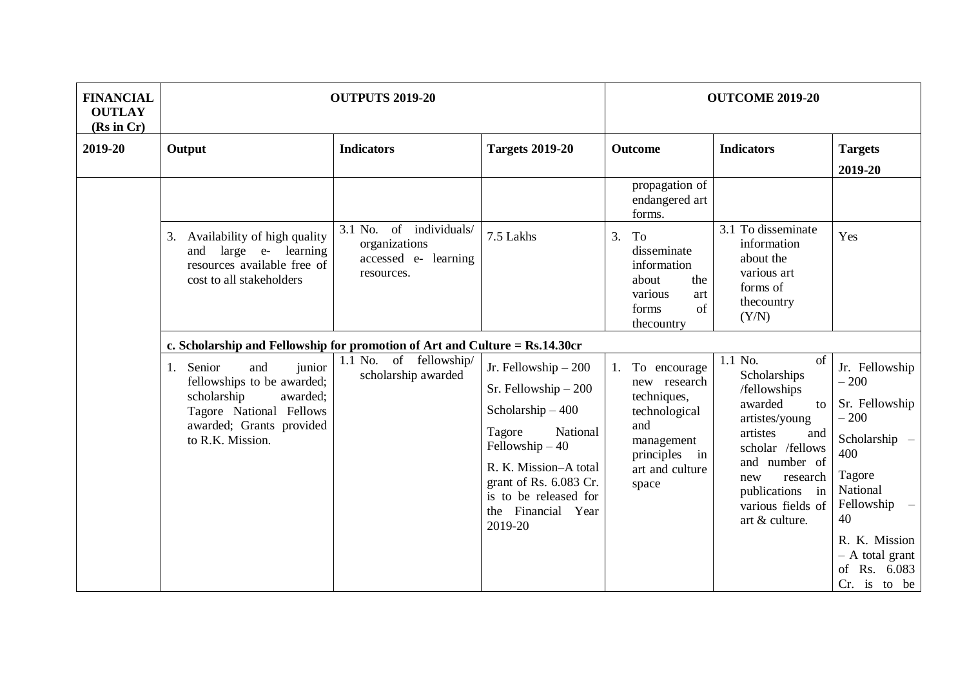| <b>FINANCIAL</b><br><b>OUTLAY</b><br>(Rs in Cr) | <b>OUTPUTS 2019-20</b>                                                                                                                                            |                                                                                   |                                                                                                                                                                                                                             | <b>OUTCOME 2019-20</b>                                                                                                         |                                                                                                                                                                                                                       |                                                                                                                                                                                              |
|-------------------------------------------------|-------------------------------------------------------------------------------------------------------------------------------------------------------------------|-----------------------------------------------------------------------------------|-----------------------------------------------------------------------------------------------------------------------------------------------------------------------------------------------------------------------------|--------------------------------------------------------------------------------------------------------------------------------|-----------------------------------------------------------------------------------------------------------------------------------------------------------------------------------------------------------------------|----------------------------------------------------------------------------------------------------------------------------------------------------------------------------------------------|
| 2019-20                                         | Output                                                                                                                                                            | <b>Indicators</b>                                                                 | <b>Targets 2019-20</b>                                                                                                                                                                                                      | <b>Outcome</b>                                                                                                                 | <b>Indicators</b>                                                                                                                                                                                                     | <b>Targets</b><br>2019-20                                                                                                                                                                    |
|                                                 |                                                                                                                                                                   |                                                                                   |                                                                                                                                                                                                                             | propagation of<br>endangered art<br>forms.                                                                                     |                                                                                                                                                                                                                       |                                                                                                                                                                                              |
|                                                 | Availability of high quality<br>3.<br>and large e- learning<br>resources available free of<br>cost to all stakeholders                                            | of individuals/<br>3.1 No.<br>organizations<br>accessed e- learning<br>resources. | 7.5 Lakhs                                                                                                                                                                                                                   | 3.<br>To<br>disseminate<br>information<br>about<br>the<br>various<br>art<br>of<br>forms<br>thecountry                          | 3.1 To disseminate<br>information<br>about the<br>various art<br>forms of<br>thecountry<br>(Y/N)                                                                                                                      | Yes                                                                                                                                                                                          |
|                                                 | c. Scholarship and Fellowship for promotion of Art and Culture = Rs.14.30cr                                                                                       |                                                                                   |                                                                                                                                                                                                                             |                                                                                                                                |                                                                                                                                                                                                                       |                                                                                                                                                                                              |
|                                                 | junior<br>Senior<br>and<br>1.<br>fellowships to be awarded;<br>scholarship<br>awarded;<br>Tagore National Fellows<br>awarded; Grants provided<br>to R.K. Mission. | of fellowship/<br>1.1 No.<br>scholarship awarded                                  | Jr. Fellowship $-200$<br>Sr. Fellowship $-200$<br>Scholarship $-400$<br>National<br>Tagore<br>Fellowship $-40$<br>R. K. Mission-A total<br>grant of Rs. 6.083 Cr.<br>is to be released for<br>the Financial Year<br>2019-20 | To encourage<br>new research<br>techniques,<br>technological<br>and<br>management<br>principles in<br>art and culture<br>space | 1.1 No.<br>of<br>Scholarships<br>/fellowships<br>awarded<br>to<br>artistes/young<br>artistes<br>and<br>scholar /fellows<br>and number of<br>research<br>new<br>publications in<br>various fields of<br>art & culture. | Jr. Fellowship<br>$-200$<br>Sr. Fellowship<br>$-200$<br>Scholarship -<br>400<br>Tagore<br>National<br>Fellowship<br>40<br>R. K. Mission<br>$- A$ total grant<br>of Rs. 6.083<br>Cr. is to be |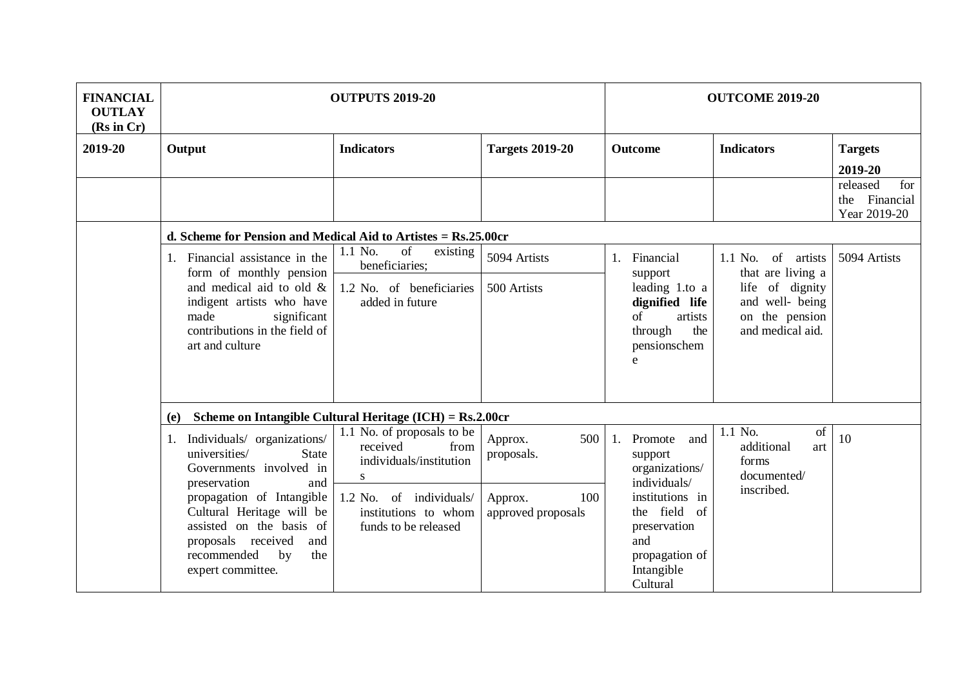| <b>FINANCIAL</b><br><b>OUTLAY</b><br>(Rs in Cr) | <b>OUTPUTS 2019-20</b>                                                                                                                                                                                                                                                                      |                                                                                                                                                           |                                                                      | <b>OUTCOME 2019-20</b>                                                                                                                                            |                                                                          |                                                     |  |  |
|-------------------------------------------------|---------------------------------------------------------------------------------------------------------------------------------------------------------------------------------------------------------------------------------------------------------------------------------------------|-----------------------------------------------------------------------------------------------------------------------------------------------------------|----------------------------------------------------------------------|-------------------------------------------------------------------------------------------------------------------------------------------------------------------|--------------------------------------------------------------------------|-----------------------------------------------------|--|--|
| 2019-20                                         | Output                                                                                                                                                                                                                                                                                      | <b>Indicators</b>                                                                                                                                         | <b>Targets 2019-20</b>                                               | <b>Outcome</b>                                                                                                                                                    | <b>Indicators</b>                                                        | <b>Targets</b><br>2019-20                           |  |  |
|                                                 |                                                                                                                                                                                                                                                                                             |                                                                                                                                                           |                                                                      |                                                                                                                                                                   |                                                                          | released<br>for<br>Financial<br>the<br>Year 2019-20 |  |  |
|                                                 | d. Scheme for Pension and Medical Aid to Artistes = Rs.25.00cr                                                                                                                                                                                                                              |                                                                                                                                                           |                                                                      |                                                                                                                                                                   |                                                                          |                                                     |  |  |
|                                                 | Financial assistance in the<br>1.<br>form of monthly pension                                                                                                                                                                                                                                | of<br>1.1 No.<br>existing<br>beneficiaries;                                                                                                               | 5094 Artists                                                         | 1. Financial<br>support                                                                                                                                           | $1.1$ No. of<br>artists<br>that are living a                             | 5094 Artists                                        |  |  |
|                                                 | and medical aid to old &<br>indigent artists who have<br>made<br>significant<br>contributions in the field of<br>art and culture                                                                                                                                                            | 1.2 No. of beneficiaries<br>added in future                                                                                                               | 500 Artists                                                          | leading 1.to a<br>dignified life<br>artists<br>of<br>through<br>the<br>pensionschem<br>e                                                                          | life of dignity<br>and well- being<br>on the pension<br>and medical aid. |                                                     |  |  |
|                                                 | (e)                                                                                                                                                                                                                                                                                         | Scheme on Intangible Cultural Heritage (ICH) = Rs.2.00cr                                                                                                  |                                                                      |                                                                                                                                                                   |                                                                          |                                                     |  |  |
|                                                 | Individuals/ organizations/<br>1.<br>universities/<br><b>State</b><br>Governments involved in<br>preservation<br>and<br>propagation of Intangible<br>Cultural Heritage will be<br>assisted on the basis of<br>proposals<br>received<br>and<br>recommended<br>by<br>the<br>expert committee. | 1.1 No. of proposals to be<br>received<br>from<br>individuals/institution<br>S<br>1.2 No. of individuals/<br>institutions to whom<br>funds to be released | 500<br>Approx.<br>proposals.<br>100<br>Approx.<br>approved proposals | Promote<br>and<br>support<br>organizations/<br>individuals/<br>institutions in<br>the field of<br>preservation<br>and<br>propagation of<br>Intangible<br>Cultural | 1.1 No.<br>of<br>additional<br>art<br>forms<br>documented/<br>inscribed. | 10                                                  |  |  |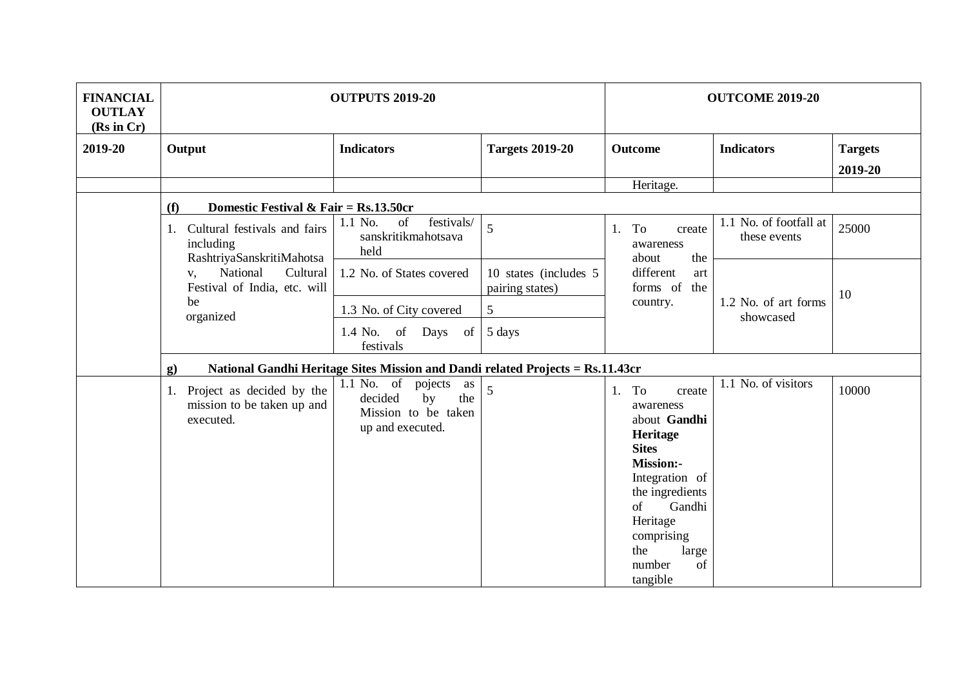| <b>FINANCIAL</b><br><b>OUTLAY</b><br>(Rs in Cr) | <b>OUTPUTS 2019-20</b>                                                  |                                                                                                  |                                           | <b>OUTCOME 2019-20</b>                                                                                                                                                                                                  |                                        |                |
|-------------------------------------------------|-------------------------------------------------------------------------|--------------------------------------------------------------------------------------------------|-------------------------------------------|-------------------------------------------------------------------------------------------------------------------------------------------------------------------------------------------------------------------------|----------------------------------------|----------------|
| 2019-20                                         | Output                                                                  | <b>Indicators</b>                                                                                | <b>Targets 2019-20</b>                    | <b>Outcome</b>                                                                                                                                                                                                          | <b>Indicators</b>                      | <b>Targets</b> |
|                                                 |                                                                         |                                                                                                  |                                           |                                                                                                                                                                                                                         |                                        | 2019-20        |
|                                                 |                                                                         |                                                                                                  |                                           | Heritage.                                                                                                                                                                                                               |                                        |                |
|                                                 | Domestic Festival & Fair = $Rs.13.50cr$<br>(f)                          |                                                                                                  |                                           |                                                                                                                                                                                                                         |                                        |                |
|                                                 | Cultural festivals and fairs<br>including<br>RashtriyaSanskritiMahotsa  | festivals/<br>1.1 No.<br>of<br>sanskritikmahotsava<br>held                                       | 5                                         | To<br>1.<br>create<br>awareness<br>about<br>the                                                                                                                                                                         | 1.1 No. of footfall at<br>these events | 25000          |
|                                                 | National<br>Cultural<br>V,<br>Festival of India, etc. will              | 1.2 No. of States covered                                                                        | 10 states (includes 5)<br>pairing states) | different<br>art<br>forms of<br>the                                                                                                                                                                                     |                                        | 10             |
|                                                 | be<br>organized                                                         | 1.3 No. of City covered                                                                          | $\sqrt{5}$                                | country.                                                                                                                                                                                                                | 1.2 No. of art forms<br>showcased      |                |
|                                                 |                                                                         | 1.4 No.<br>of<br>Days<br>of<br>festivals                                                         | 5 days                                    |                                                                                                                                                                                                                         |                                        |                |
|                                                 | $\mathbf{g}$                                                            | National Gandhi Heritage Sites Mission and Dandi related Projects = Rs.11.43cr                   |                                           |                                                                                                                                                                                                                         |                                        |                |
|                                                 | 1. Project as decided by the<br>mission to be taken up and<br>executed. | $1.1$ No. of<br>pojects<br>as<br>decided<br>by<br>the<br>Mission to be taken<br>up and executed. | 5                                         | 1. To<br>create<br>awareness<br>about Gandhi<br>Heritage<br><b>Sites</b><br><b>Mission:-</b><br>Integration of<br>the ingredients<br>Gandhi<br>of<br>Heritage<br>comprising<br>the<br>large<br>number<br>of<br>tangible | 1.1 No. of visitors                    | 10000          |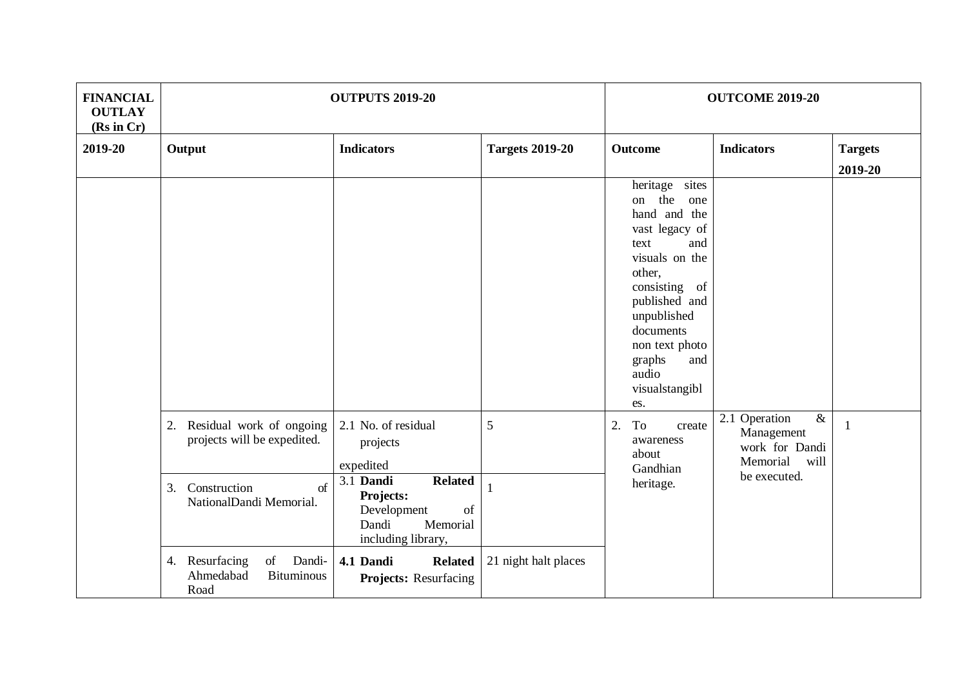| <b>FINANCIAL</b><br><b>OUTLAY</b><br>(Rs in Cr) | <b>OUTPUTS 2019-20</b>                                                            |                                                                                                          |                        | <b>OUTCOME 2019-20</b>                                                                                                                                                                                                                          |                                                                                                  |                           |  |
|-------------------------------------------------|-----------------------------------------------------------------------------------|----------------------------------------------------------------------------------------------------------|------------------------|-------------------------------------------------------------------------------------------------------------------------------------------------------------------------------------------------------------------------------------------------|--------------------------------------------------------------------------------------------------|---------------------------|--|
| 2019-20                                         | Output                                                                            | <b>Indicators</b>                                                                                        | <b>Targets 2019-20</b> | <b>Outcome</b>                                                                                                                                                                                                                                  | <b>Indicators</b>                                                                                | <b>Targets</b><br>2019-20 |  |
|                                                 |                                                                                   |                                                                                                          |                        | heritage sites<br>on the<br>one<br>hand and the<br>vast legacy of<br>and<br>text<br>visuals on the<br>other,<br>consisting of<br>published and<br>unpublished<br>documents<br>non text photo<br>graphs<br>and<br>audio<br>visualstangibl<br>es. |                                                                                                  |                           |  |
|                                                 | Residual work of ongoing<br>2.<br>projects will be expedited.                     | 2.1 No. of residual<br>projects<br>expedited                                                             | 5                      | 2.<br>To<br>create<br>awareness<br>about<br>Gandhian                                                                                                                                                                                            | $\overline{\mathcal{X}}$<br>Operation<br>2.1<br>Management<br>work for Dandi<br>Memorial<br>will | -1                        |  |
|                                                 | Construction<br>of<br>3.<br>NationalDandi Memorial.                               | 3.1 Dandi<br><b>Related</b><br>Projects:<br>Development<br>of<br>Dandi<br>Memorial<br>including library, |                        | heritage.                                                                                                                                                                                                                                       | be executed.                                                                                     |                           |  |
|                                                 | Resurfacing<br>$\sigma$<br>Dandi-<br>4.<br>Ahmedabad<br><b>Bituminous</b><br>Road | 4.1 Dandi<br><b>Related</b><br><b>Projects:</b> Resurfacing                                              | 21 night halt places   |                                                                                                                                                                                                                                                 |                                                                                                  |                           |  |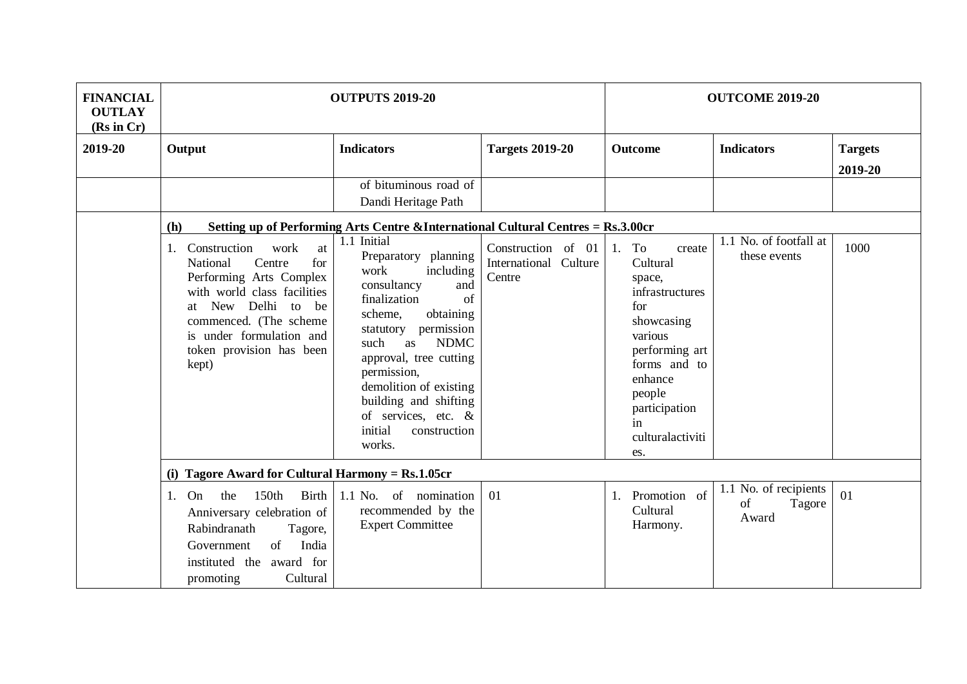| <b>FINANCIAL</b><br><b>OUTLAY</b><br>(Rs in Cr) | <b>OUTPUTS 2019-20</b>                                                                                                                                                                                                                                      |                                                                                                                                                                                                                                                                                                                                                                                                                         |                                                       | <b>OUTCOME 2019-20</b>                                                                                                                                                                        |                                                   |                           |
|-------------------------------------------------|-------------------------------------------------------------------------------------------------------------------------------------------------------------------------------------------------------------------------------------------------------------|-------------------------------------------------------------------------------------------------------------------------------------------------------------------------------------------------------------------------------------------------------------------------------------------------------------------------------------------------------------------------------------------------------------------------|-------------------------------------------------------|-----------------------------------------------------------------------------------------------------------------------------------------------------------------------------------------------|---------------------------------------------------|---------------------------|
| 2019-20                                         | Output                                                                                                                                                                                                                                                      | <b>Indicators</b>                                                                                                                                                                                                                                                                                                                                                                                                       | <b>Targets 2019-20</b>                                | <b>Outcome</b>                                                                                                                                                                                | <b>Indicators</b>                                 | <b>Targets</b><br>2019-20 |
|                                                 |                                                                                                                                                                                                                                                             | of bituminous road of<br>Dandi Heritage Path                                                                                                                                                                                                                                                                                                                                                                            |                                                       |                                                                                                                                                                                               |                                                   |                           |
|                                                 | (h)<br>Construction<br>work<br>at<br>1.<br>National<br>Centre<br>for<br>Performing Arts Complex<br>with world class facilities<br>New<br>Delhi<br>to<br>be<br>at<br>commenced. (The scheme<br>is under formulation and<br>token provision has been<br>kept) | Setting up of Performing Arts Centre & International Cultural Centres = Rs.3.00cr<br>1.1 Initial<br>Preparatory planning<br>work<br>including<br>consultancy<br>and<br>finalization<br>of<br>obtaining<br>scheme,<br>permission<br>statutory<br><b>NDMC</b><br>such<br>as<br>approval, tree cutting<br>permission,<br>demolition of existing<br>building and shifting<br>of services, etc. &<br>initial<br>construction | Construction of 01<br>International Culture<br>Centre | To<br>1.<br>create<br>Cultural<br>space,<br>infrastructures<br>for<br>showcasing<br>various<br>performing art<br>forms and to<br>enhance<br>people<br>participation<br>in<br>culturalactiviti | 1.1 No. of footfall at<br>these events            | 1000                      |
|                                                 | works.<br>es.<br>(i) Tagore Award for Cultural Harmony = $Rs.1.05cr$                                                                                                                                                                                        |                                                                                                                                                                                                                                                                                                                                                                                                                         |                                                       |                                                                                                                                                                                               |                                                   |                           |
|                                                 | 150th<br><b>Birth</b><br>the<br>On<br>1.<br>Anniversary celebration of<br>Rabindranath<br>Tagore,<br>of<br>India<br>Government<br>instituted the award for                                                                                                  | 1.1 No. of nomination<br>recommended by the<br><b>Expert Committee</b>                                                                                                                                                                                                                                                                                                                                                  | 01                                                    | Promotion of<br>Cultural<br>Harmony.                                                                                                                                                          | No. of recipients<br>1.1<br>of<br>Tagore<br>Award | 01                        |
|                                                 | Cultural<br>promoting                                                                                                                                                                                                                                       |                                                                                                                                                                                                                                                                                                                                                                                                                         |                                                       |                                                                                                                                                                                               |                                                   |                           |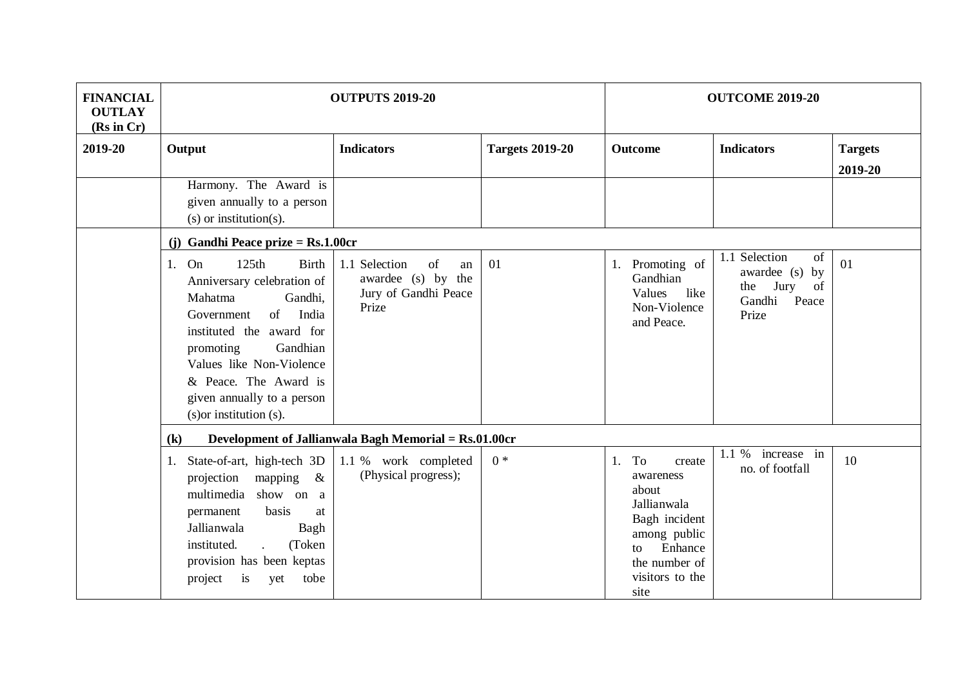| <b>FINANCIAL</b><br><b>OUTLAY</b><br>(Rs in Cr) | <b>OUTPUTS 2019-20</b>                                                                                                                                                                                                                                                                  |                                                                                  |                        | <b>OUTCOME 2019-20</b>                                                                                                                             |                                                                                              |                           |  |  |
|-------------------------------------------------|-----------------------------------------------------------------------------------------------------------------------------------------------------------------------------------------------------------------------------------------------------------------------------------------|----------------------------------------------------------------------------------|------------------------|----------------------------------------------------------------------------------------------------------------------------------------------------|----------------------------------------------------------------------------------------------|---------------------------|--|--|
| 2019-20                                         | Output                                                                                                                                                                                                                                                                                  | <b>Indicators</b>                                                                | <b>Targets 2019-20</b> | <b>Outcome</b>                                                                                                                                     | <b>Indicators</b>                                                                            | <b>Targets</b><br>2019-20 |  |  |
|                                                 | Harmony. The Award is<br>given annually to a person<br>$(s)$ or institution $(s)$ .                                                                                                                                                                                                     |                                                                                  |                        |                                                                                                                                                    |                                                                                              |                           |  |  |
|                                                 | (j) Gandhi Peace prize = $Rs.1.00cr$                                                                                                                                                                                                                                                    |                                                                                  |                        |                                                                                                                                                    |                                                                                              |                           |  |  |
|                                                 | 125th<br><b>Birth</b><br>1. On<br>Anniversary celebration of<br>Mahatma<br>Gandhi,<br>of<br>India<br>Government<br>instituted the award for<br>Gandhian<br>promoting<br>Values like Non-Violence<br>& Peace. The Award is<br>given annually to a person<br>$(s)$ or institution $(s)$ . | 1.1 Selection<br>of<br>an<br>awardee (s) by the<br>Jury of Gandhi Peace<br>Prize | 01                     | 1. Promoting of<br>Gandhian<br>Values<br>like<br>Non-Violence<br>and Peace.                                                                        | Selection<br>of<br>1.1<br>awardee (s)<br>by<br>Jury<br>of<br>the<br>Gandhi<br>Peace<br>Prize | 01                        |  |  |
|                                                 | $\left( \mathbf{k}\right)$                                                                                                                                                                                                                                                              | Development of Jallianwala Bagh Memorial = Rs.01.00cr                            |                        |                                                                                                                                                    |                                                                                              |                           |  |  |
|                                                 | State-of-art, high-tech 3D<br>1.<br>projection<br>mapping<br>$\&$<br>multimedia<br>show on a<br>basis<br>permanent<br>at<br>Jallianwala<br>Bagh<br>instituted.<br>(Token<br>$\mathbf{r}$<br>provision has been keptas<br>project<br>is<br>yet<br>tobe                                   | 1.1 % work completed<br>(Physical progress);                                     | $0 *$                  | 1. To<br>create<br>awareness<br>about<br>Jallianwala<br>Bagh incident<br>among public<br>Enhance<br>tο<br>the number of<br>visitors to the<br>site | 1.1 %<br>increase in<br>no. of footfall                                                      | 10                        |  |  |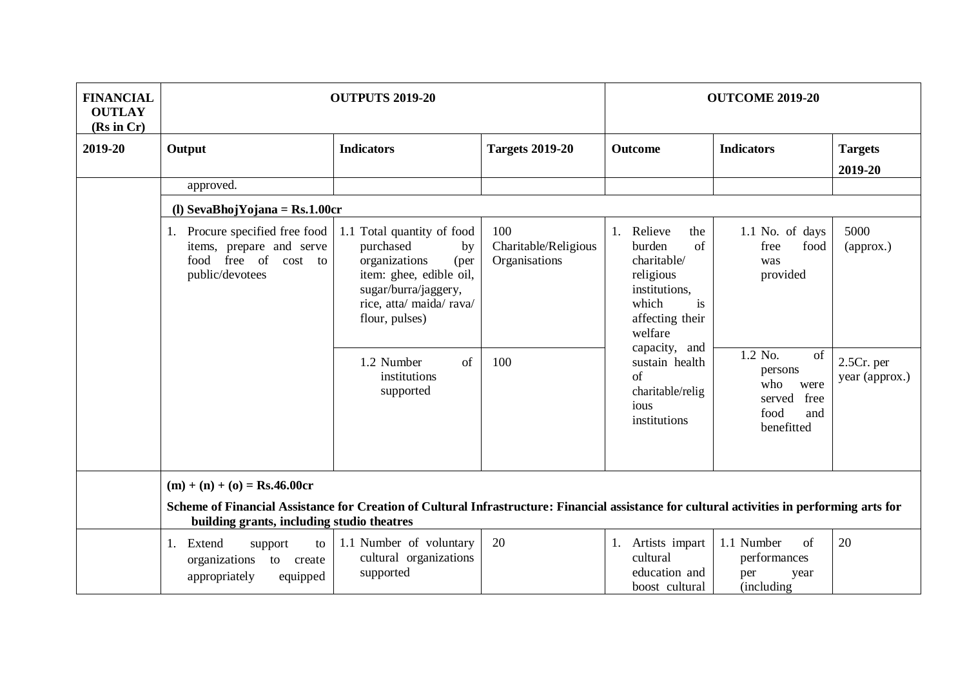| <b>FINANCIAL</b><br><b>OUTLAY</b><br>(Rs in Cr) | <b>OUTPUTS 2019-20</b>                                                                                                                                                                    |                                                                                                                                                                         |                                              | <b>OUTCOME 2019-20</b>                                                                                                                       |                                                                                        |                                |  |  |  |
|-------------------------------------------------|-------------------------------------------------------------------------------------------------------------------------------------------------------------------------------------------|-------------------------------------------------------------------------------------------------------------------------------------------------------------------------|----------------------------------------------|----------------------------------------------------------------------------------------------------------------------------------------------|----------------------------------------------------------------------------------------|--------------------------------|--|--|--|
| 2019-20                                         | Output                                                                                                                                                                                    | <b>Indicators</b>                                                                                                                                                       | <b>Targets 2019-20</b>                       | <b>Outcome</b>                                                                                                                               | <b>Indicators</b>                                                                      | <b>Targets</b><br>2019-20      |  |  |  |
|                                                 | approved.                                                                                                                                                                                 |                                                                                                                                                                         |                                              |                                                                                                                                              |                                                                                        |                                |  |  |  |
|                                                 | (l) SevaBhojYojana = $Rs.1.00cr$                                                                                                                                                          |                                                                                                                                                                         |                                              |                                                                                                                                              |                                                                                        |                                |  |  |  |
|                                                 | 1. Procure specified free food<br>items, prepare and serve<br>food free of cost to<br>public/devotees                                                                                     | 1.1 Total quantity of food<br>purchased<br>by<br>(per<br>organizations<br>item: ghee, edible oil,<br>sugar/burra/jaggery,<br>rice, atta/ maida/ rava/<br>flour, pulses) | 100<br>Charitable/Religious<br>Organisations | 1. Relieve<br>the<br>of<br>burden<br>charitable/<br>religious<br>institutions,<br>which<br>is<br>affecting their<br>welfare<br>capacity, and | 1.1 No. of days<br>free<br>food<br>was<br>provided                                     | 5000<br>(approx.)              |  |  |  |
|                                                 |                                                                                                                                                                                           | 1.2 Number<br>$\sigma$ f<br>institutions<br>supported                                                                                                                   | 100                                          | sustain health<br>$\sigma$ f<br>charitable/relig<br>ious<br>institutions                                                                     | 1.2 No.<br>of<br>persons<br>who<br>were<br>free<br>served<br>food<br>and<br>benefitted | $2.5Cr.$ per<br>year (approx.) |  |  |  |
|                                                 | $(m) + (n) + (o) = Rs.46.00cr$                                                                                                                                                            |                                                                                                                                                                         |                                              |                                                                                                                                              |                                                                                        |                                |  |  |  |
|                                                 | Scheme of Financial Assistance for Creation of Cultural Infrastructure: Financial assistance for cultural activities in performing arts for<br>building grants, including studio theatres |                                                                                                                                                                         |                                              |                                                                                                                                              |                                                                                        |                                |  |  |  |
|                                                 | Extend<br>support<br>1.<br>to<br>organizations<br>to<br>create<br>appropriately<br>equipped                                                                                               | 1.1 Number of voluntary<br>cultural organizations<br>supported                                                                                                          | 20                                           | 1. Artists impart<br>cultural<br>education and<br>boost cultural                                                                             | 1.1 Number<br>of<br>performances<br>per<br>year<br>(including                          | 20                             |  |  |  |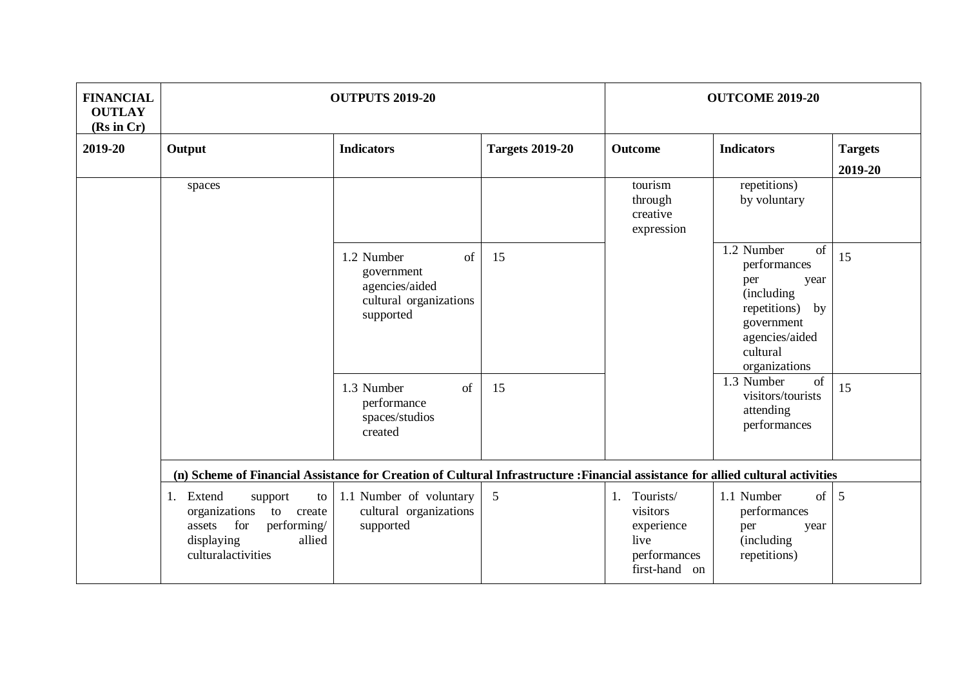| <b>FINANCIAL</b><br><b>OUTLAY</b><br>(Rs in Cr) | <b>OUTPUTS 2019-20</b>                                                                                                                 |                                                                                         |                        | <b>OUTCOME 2019-20</b>                                                             |                                                                                                                                                  |                |
|-------------------------------------------------|----------------------------------------------------------------------------------------------------------------------------------------|-----------------------------------------------------------------------------------------|------------------------|------------------------------------------------------------------------------------|--------------------------------------------------------------------------------------------------------------------------------------------------|----------------|
| 2019-20                                         | Output                                                                                                                                 | <b>Indicators</b>                                                                       | <b>Targets 2019-20</b> | Outcome                                                                            | <b>Indicators</b>                                                                                                                                | <b>Targets</b> |
|                                                 | spaces                                                                                                                                 |                                                                                         |                        | tourism<br>through<br>creative<br>expression                                       | repetitions)<br>by voluntary                                                                                                                     | 2019-20        |
|                                                 |                                                                                                                                        | of<br>1.2 Number<br>government<br>agencies/aided<br>cultural organizations<br>supported | 15                     |                                                                                    | 1.2 Number<br>of<br>performances<br>per<br>year<br>(including<br>repetitions)<br>by<br>government<br>agencies/aided<br>cultural<br>organizations | 15             |
|                                                 |                                                                                                                                        | of<br>1.3 Number<br>performance<br>spaces/studios<br>created                            | 15                     |                                                                                    | 1.3 Number<br>of<br>visitors/tourists<br>attending<br>performances                                                                               | 15             |
|                                                 | (n) Scheme of Financial Assistance for Creation of Cultural Infrastructure : Financial assistance for allied cultural activities       |                                                                                         |                        |                                                                                    |                                                                                                                                                  |                |
|                                                 | 1. Extend<br>support<br>to<br>organizations<br>to create<br>for<br>performing/<br>assets<br>displaying<br>allied<br>culturalactivities | 1.1 Number of voluntary<br>cultural organizations<br>supported                          | 5                      | 1. Tourists/<br>visitors<br>experience<br>live<br>performances<br>first-hand<br>on | 1.1 Number<br>$of \mid$<br>performances<br>per<br>year<br>(including)<br>repetitions)                                                            | 5              |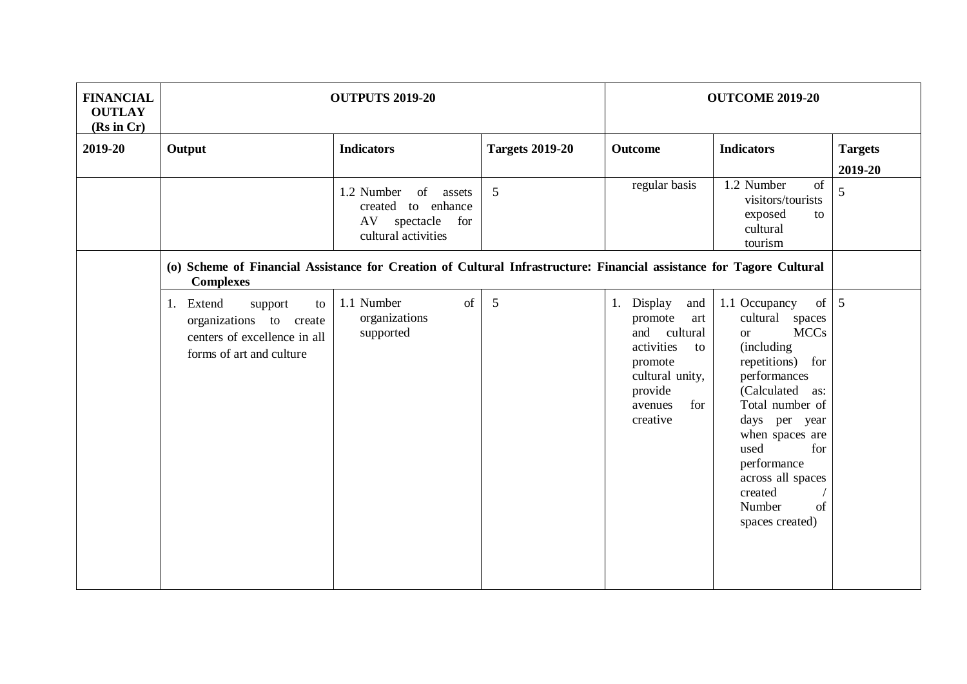| <b>FINANCIAL</b><br><b>OUTLAY</b><br>(Rs in Cr) | <b>OUTPUTS 2019-20</b>                                                                                                                   | <b>OUTCOME 2019-20</b>                                                                            |                        |                                                                                                                                                   |                                                                                                                                                                                                                                                                                                        |                           |  |
|-------------------------------------------------|------------------------------------------------------------------------------------------------------------------------------------------|---------------------------------------------------------------------------------------------------|------------------------|---------------------------------------------------------------------------------------------------------------------------------------------------|--------------------------------------------------------------------------------------------------------------------------------------------------------------------------------------------------------------------------------------------------------------------------------------------------------|---------------------------|--|
| 2019-20                                         | Output                                                                                                                                   | <b>Indicators</b>                                                                                 | <b>Targets 2019-20</b> | <b>Outcome</b>                                                                                                                                    | <b>Indicators</b>                                                                                                                                                                                                                                                                                      | <b>Targets</b><br>2019-20 |  |
|                                                 |                                                                                                                                          | 1.2 Number<br>of<br>assets<br>created to enhance<br>AV<br>spectacle<br>for<br>cultural activities | 5                      | regular basis                                                                                                                                     | 1.2 Number<br>of<br>visitors/tourists<br>exposed<br>to<br>cultural<br>tourism                                                                                                                                                                                                                          | 5                         |  |
|                                                 | (o) Scheme of Financial Assistance for Creation of Cultural Infrastructure: Financial assistance for Tagore Cultural<br><b>Complexes</b> |                                                                                                   |                        |                                                                                                                                                   |                                                                                                                                                                                                                                                                                                        |                           |  |
|                                                 | 1. Extend<br>support<br>to<br>organizations to create<br>centers of excellence in all<br>forms of art and culture                        | 1.1 Number<br>of<br>organizations<br>supported                                                    | 5                      | 1. Display<br>and<br>promote<br>art<br>cultural<br>and<br>activities<br>to<br>promote<br>cultural unity,<br>provide<br>for<br>avenues<br>creative | $of \, 5$<br>1.1 Occupancy<br>cultural spaces<br><b>MCCs</b><br><b>or</b><br>(including<br>repetitions) for<br>performances<br>(Calculated as:<br>Total number of<br>days per year<br>when spaces are<br>for<br>used<br>performance<br>across all spaces<br>created<br>Number<br>of<br>spaces created) |                           |  |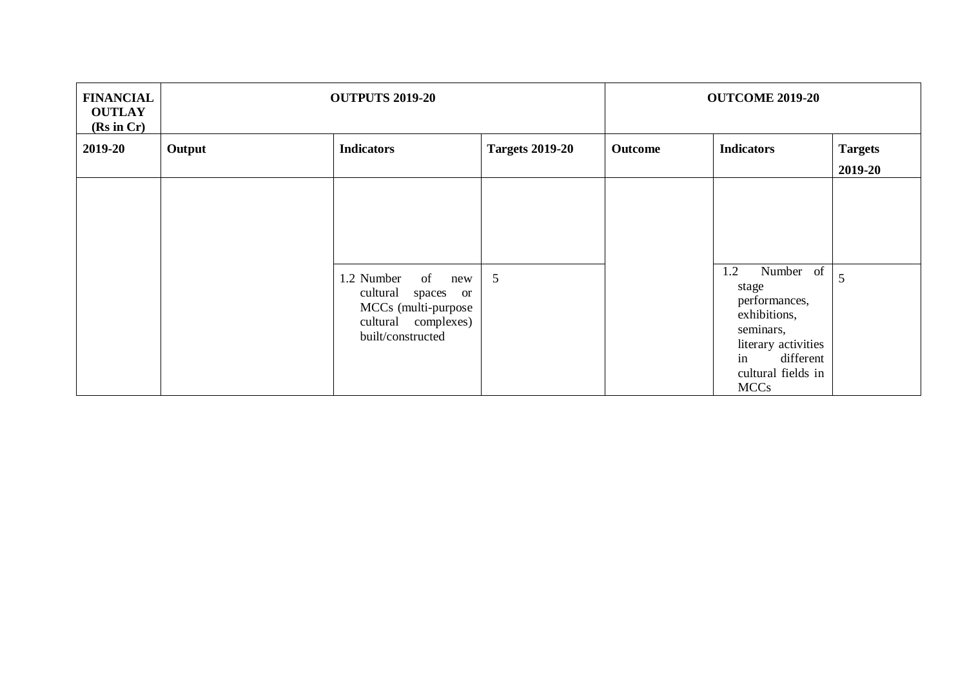| <b>FINANCIAL</b><br><b>OUTLAY</b><br>(Rs in Cr) | <b>OUTPUTS 2019-20</b> |                                                                                                                                   |                        | <b>OUTCOME 2019-20</b> |                                                                                                                                                        |                           |
|-------------------------------------------------|------------------------|-----------------------------------------------------------------------------------------------------------------------------------|------------------------|------------------------|--------------------------------------------------------------------------------------------------------------------------------------------------------|---------------------------|
| 2019-20                                         | Output                 | <b>Indicators</b>                                                                                                                 | <b>Targets 2019-20</b> | Outcome                | <b>Indicators</b>                                                                                                                                      | <b>Targets</b><br>2019-20 |
|                                                 |                        |                                                                                                                                   |                        |                        |                                                                                                                                                        |                           |
|                                                 |                        | of<br>1.2 Number<br>new<br>cultural<br>spaces<br><sub>or</sub><br>MCCs (multi-purpose<br>cultural complexes)<br>built/constructed | 5                      |                        | 1.2<br>Number of<br>stage<br>performances,<br>exhibitions,<br>seminars,<br>literary activities<br>in<br>different<br>cultural fields in<br><b>MCCs</b> | 5                         |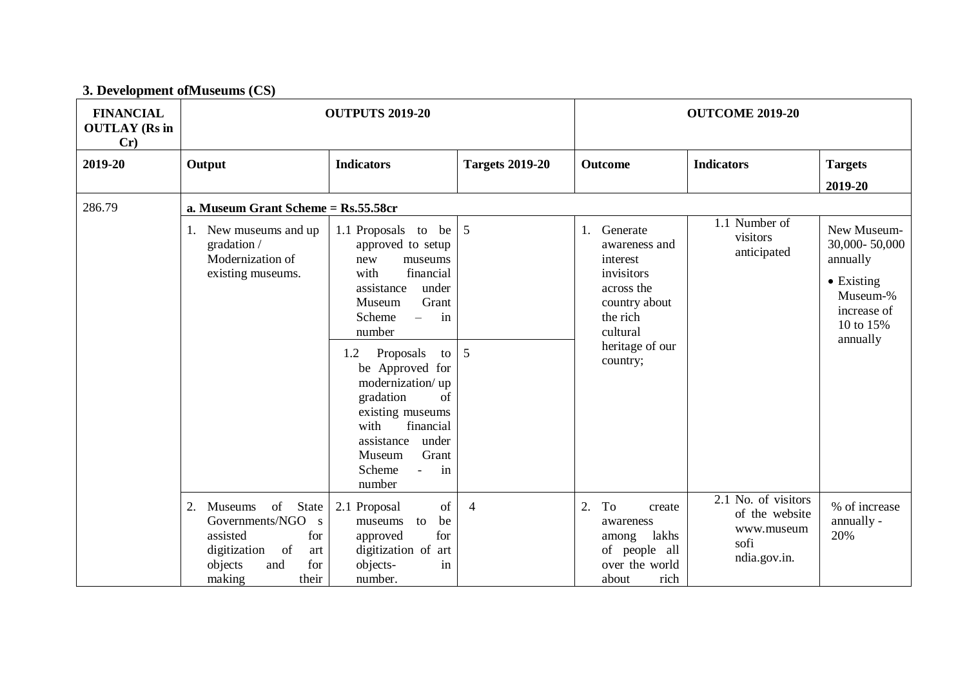|                                                 | 3. Development of Museums (CS)                                                                                                                |                                                                                                                                                                                                                                                                                                                                                                              |                        |                                                                                                                                                 |                                                                             |                                                                                                                    |  |  |  |  |
|-------------------------------------------------|-----------------------------------------------------------------------------------------------------------------------------------------------|------------------------------------------------------------------------------------------------------------------------------------------------------------------------------------------------------------------------------------------------------------------------------------------------------------------------------------------------------------------------------|------------------------|-------------------------------------------------------------------------------------------------------------------------------------------------|-----------------------------------------------------------------------------|--------------------------------------------------------------------------------------------------------------------|--|--|--|--|
| <b>FINANCIAL</b><br><b>OUTLAY (Rs in</b><br>Cr) |                                                                                                                                               | <b>OUTPUTS 2019-20</b>                                                                                                                                                                                                                                                                                                                                                       |                        |                                                                                                                                                 | <b>OUTCOME 2019-20</b>                                                      |                                                                                                                    |  |  |  |  |
| 2019-20                                         | Output                                                                                                                                        | <b>Indicators</b>                                                                                                                                                                                                                                                                                                                                                            | <b>Targets 2019-20</b> | Outcome                                                                                                                                         | <b>Indicators</b>                                                           | <b>Targets</b><br>2019-20                                                                                          |  |  |  |  |
| 286.79                                          |                                                                                                                                               | a. Museum Grant Scheme = Rs.55.58cr                                                                                                                                                                                                                                                                                                                                          |                        |                                                                                                                                                 |                                                                             |                                                                                                                    |  |  |  |  |
|                                                 | 1. New museums and up<br>gradation /<br>Modernization of<br>existing museums.                                                                 | 1.1 Proposals to be<br>approved to setup<br>new<br>museums<br>financial<br>with<br>assistance<br>under<br>Museum<br>Grant<br>in<br>Scheme<br>$\equiv$<br>number<br>Proposals<br>1.2<br>to<br>be Approved for<br>modernization/up<br>gradation<br>of<br>existing museums<br>financial<br>with<br>assistance<br>under<br>Grant<br>Museum<br>Scheme<br>in<br>$\equiv$<br>number | $\overline{5}$<br>5    | 1.<br>Generate<br>awareness and<br>interest<br>invisitors<br>across the<br>country about<br>the rich<br>cultural<br>heritage of our<br>country; | 1.1 Number of<br>visitors<br>anticipated                                    | New Museum-<br>30,000-50,000<br>annually<br>$\bullet$ Existing<br>Museum-%<br>increase of<br>10 to 15%<br>annually |  |  |  |  |
|                                                 | of<br>State<br>2.<br>Museums<br>Governments/NGO s<br>for<br>assisted<br>of<br>digitization<br>art<br>objects<br>for<br>and<br>making<br>their | of<br>2.1 Proposal<br>be<br>museums<br>to<br>for<br>approved<br>digitization of<br>art<br>in<br>objects-<br>number.                                                                                                                                                                                                                                                          | $\overline{4}$         | 2.<br>To<br>create<br>awareness<br>lakhs<br>among<br>of people all<br>over the world<br>rich<br>about                                           | 2.1 No. of visitors<br>of the website<br>www.museum<br>sofi<br>ndia.gov.in. | % of increase<br>annually -<br>20%                                                                                 |  |  |  |  |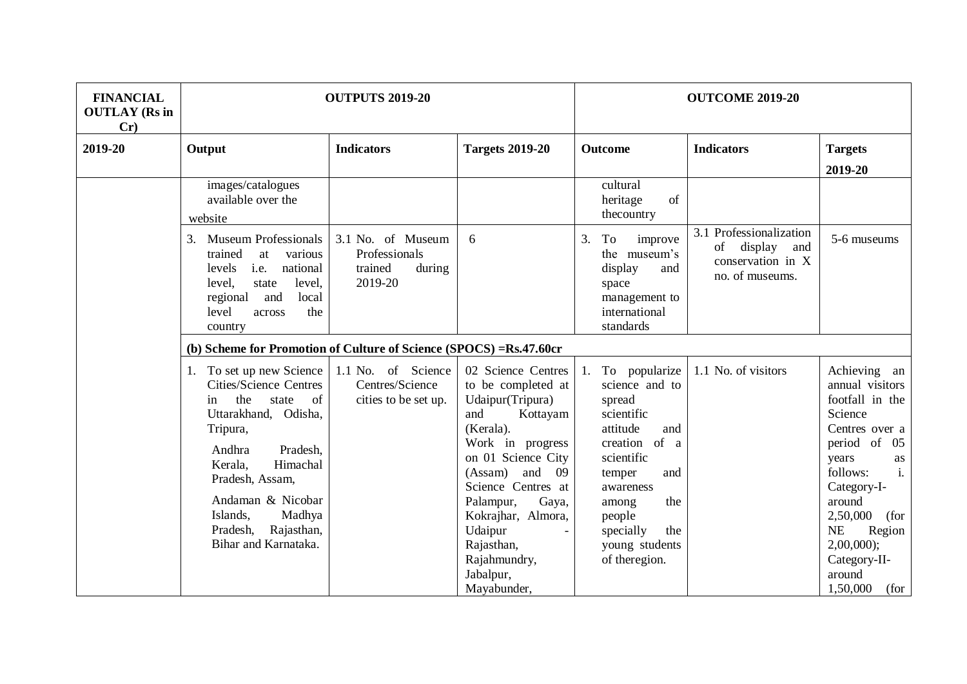| <b>FINANCIAL</b><br><b>OUTLAY</b> (Rs in<br>Cr) |                                                                                                                                                                                                                                                                                        | <b>OUTPUTS 2019-20</b>                                             |                                                                                                                                                                                                                                                                                                       | <b>OUTCOME 2019-20</b>                                                                                                                                                                                                         |                                                                                               |                                                                                                                                                                                                                                                                                   |
|-------------------------------------------------|----------------------------------------------------------------------------------------------------------------------------------------------------------------------------------------------------------------------------------------------------------------------------------------|--------------------------------------------------------------------|-------------------------------------------------------------------------------------------------------------------------------------------------------------------------------------------------------------------------------------------------------------------------------------------------------|--------------------------------------------------------------------------------------------------------------------------------------------------------------------------------------------------------------------------------|-----------------------------------------------------------------------------------------------|-----------------------------------------------------------------------------------------------------------------------------------------------------------------------------------------------------------------------------------------------------------------------------------|
| 2019-20                                         | Output                                                                                                                                                                                                                                                                                 | <b>Indicators</b>                                                  | <b>Targets 2019-20</b>                                                                                                                                                                                                                                                                                | Outcome                                                                                                                                                                                                                        | <b>Indicators</b>                                                                             | <b>Targets</b><br>2019-20                                                                                                                                                                                                                                                         |
|                                                 | images/catalogues<br>available over the<br>website                                                                                                                                                                                                                                     |                                                                    |                                                                                                                                                                                                                                                                                                       | cultural<br>of<br>heritage<br>thecountry                                                                                                                                                                                       |                                                                                               |                                                                                                                                                                                                                                                                                   |
|                                                 | <b>Museum Professionals</b><br>3.<br>trained<br>at<br>various<br>i.e.<br>national<br>levels<br>level,<br>level.<br>state<br>local<br>and<br>regional<br>level<br>the<br>across<br>country                                                                                              | 3.1 No. of Museum<br>Professionals<br>trained<br>during<br>2019-20 | 6                                                                                                                                                                                                                                                                                                     | To<br>3.<br>improve<br>the museum's<br>display<br>and<br>space<br>management to<br>international<br>standards                                                                                                                  | 3.1 Professionalization<br>$\sigma$<br>display<br>and<br>conservation in X<br>no. of museums. | 5-6 museums                                                                                                                                                                                                                                                                       |
|                                                 | (b) Scheme for Promotion of Culture of Science (SPOCS) = Rs.47.60cr                                                                                                                                                                                                                    |                                                                    |                                                                                                                                                                                                                                                                                                       |                                                                                                                                                                                                                                |                                                                                               |                                                                                                                                                                                                                                                                                   |
|                                                 | 1. To set up new Science<br><b>Cities/Science Centres</b><br>the<br>of<br>state<br>in<br>Uttarakhand, Odisha,<br>Tripura,<br>Andhra<br>Pradesh.<br>Himachal<br>Kerala,<br>Pradesh, Assam,<br>Andaman & Nicobar<br>Islands,<br>Madhya<br>Rajasthan,<br>Pradesh,<br>Bihar and Karnataka. | 1.1 No. of Science<br>Centres/Science<br>cities to be set up.      | 02 Science Centres<br>to be completed at<br>Udaipur(Tripura)<br>and<br>Kottayam<br>(Kerala).<br>Work in progress<br>on 01 Science City<br>(Assam)<br>and<br>09<br>Science Centres at<br>Palampur,<br>Gaya,<br>Kokrajhar, Almora,<br>Udaipur<br>Rajasthan,<br>Rajahmundry,<br>Jabalpur,<br>Mayabunder, | To popularize<br>1.<br>science and to<br>spread<br>scientific<br>attitude<br>and<br>creation of a<br>scientific<br>temper<br>and<br>awareness<br>the<br>among<br>people<br>specially<br>the<br>young students<br>of theregion. | 1.1 No. of visitors                                                                           | Achieving an<br>annual visitors<br>footfall in the<br>Science<br>Centres over a<br>period of<br>05<br>years<br>as<br>$\mathbf{i}$ .<br>follows:<br>Category-I-<br>around<br>2,50,000<br>(for<br><b>NE</b><br>Region<br>$2,00,000$ ;<br>Category-II-<br>around<br>1,50,000<br>(for |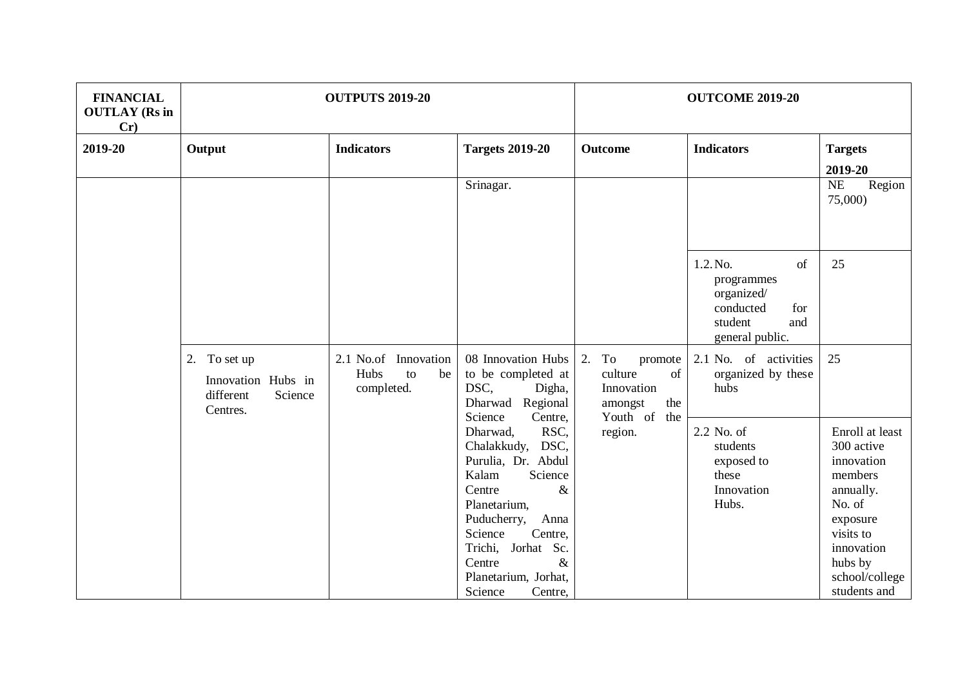| <b>FINANCIAL</b><br><b>OUTLAY</b> (Rs in<br>Cr) |                               | <b>OUTPUTS 2019-20</b>                                 |                                                                                                                                                                                                                                                        | <b>OUTCOME 2019-20</b>                                               |                                                                                                     |                                                                                                                                                                   |  |
|-------------------------------------------------|-------------------------------|--------------------------------------------------------|--------------------------------------------------------------------------------------------------------------------------------------------------------------------------------------------------------------------------------------------------------|----------------------------------------------------------------------|-----------------------------------------------------------------------------------------------------|-------------------------------------------------------------------------------------------------------------------------------------------------------------------|--|
| 2019-20                                         | Output                        | <b>Indicators</b>                                      | <b>Targets 2019-20</b>                                                                                                                                                                                                                                 | <b>Outcome</b>                                                       | <b>Indicators</b>                                                                                   | <b>Targets</b><br>2019-20                                                                                                                                         |  |
|                                                 |                               |                                                        | Srinagar.                                                                                                                                                                                                                                              |                                                                      |                                                                                                     | NE<br>Region<br>75,000)                                                                                                                                           |  |
|                                                 |                               |                                                        |                                                                                                                                                                                                                                                        |                                                                      | 1.2. No.<br>of<br>programmes<br>organized/<br>conducted<br>for<br>student<br>and<br>general public. | 25                                                                                                                                                                |  |
| 2. To set up<br>different<br>Centres.           | Innovation Hubs in<br>Science | 2.1 No.of Innovation<br>Hubs<br>to<br>be<br>completed. | 08 Innovation Hubs<br>to be completed at<br>DSC,<br>Digha,<br>Dharwad Regional                                                                                                                                                                         | 2.<br>To<br>promote<br>of<br>culture<br>Innovation<br>amongst<br>the | 2.1 No. of activities<br>organized by these<br>hubs                                                 | 25                                                                                                                                                                |  |
|                                                 |                               |                                                        | Science<br>Centre,<br>RSC,<br>Dharwad,<br>Chalakkudy,<br>DSC,<br>Purulia, Dr. Abdul<br>Kalam<br>Science<br>$\&$<br>Centre<br>Planetarium,<br>Puducherry,<br>Anna<br>Science<br>Centre,<br>Trichi, Jorhat Sc.<br>$\&$<br>Centre<br>Planetarium, Jorhat, | Youth of<br>the<br>region.                                           | 2.2 No. of<br>students<br>exposed to<br>these<br>Innovation<br>Hubs.                                | Enroll at least<br>300 active<br>innovation<br>members<br>annually.<br>No. of<br>exposure<br>visits to<br>innovation<br>hubs by<br>school/college<br>students and |  |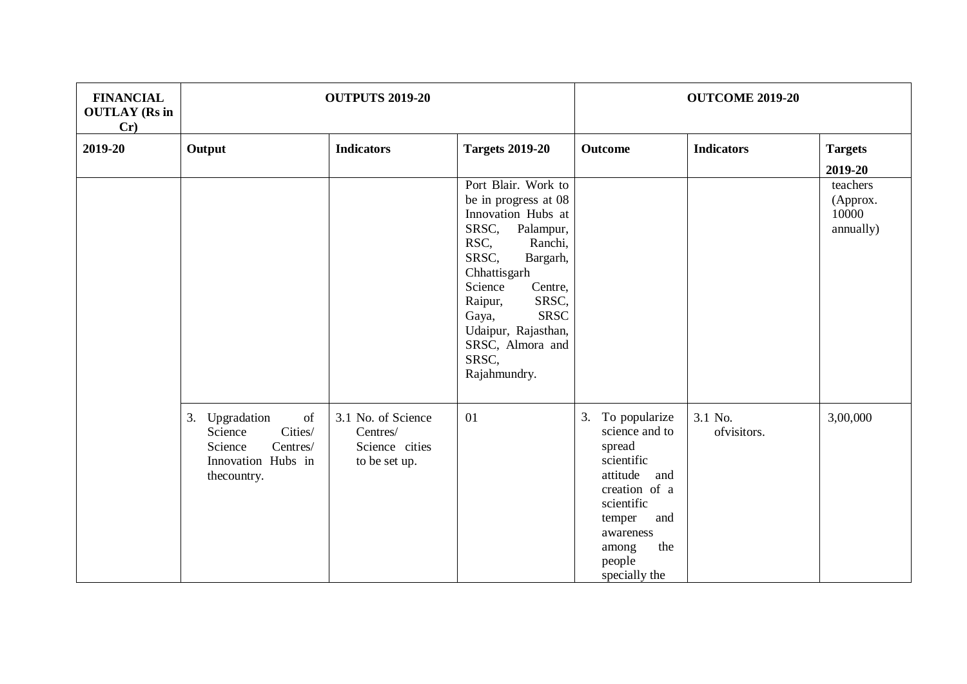| <b>FINANCIAL</b><br><b>OUTLAY</b> (Rs in<br>Cr) |                                                                                                        | <b>OUTPUTS 2019-20</b>                                            |                                                                                                                                                                                                                                                                                       |                                                                                                                                                                                          | <b>OUTCOME 2019-20</b> |                                                       |  |  |
|-------------------------------------------------|--------------------------------------------------------------------------------------------------------|-------------------------------------------------------------------|---------------------------------------------------------------------------------------------------------------------------------------------------------------------------------------------------------------------------------------------------------------------------------------|------------------------------------------------------------------------------------------------------------------------------------------------------------------------------------------|------------------------|-------------------------------------------------------|--|--|
| 2019-20                                         | Output                                                                                                 | <b>Indicators</b>                                                 | <b>Targets 2019-20</b>                                                                                                                                                                                                                                                                | <b>Outcome</b>                                                                                                                                                                           | <b>Indicators</b>      | <b>Targets</b>                                        |  |  |
|                                                 |                                                                                                        |                                                                   | Port Blair. Work to<br>be in progress at 08<br>Innovation Hubs at<br>SRSC,<br>Palampur,<br>RSC,<br>Ranchi,<br>SRSC,<br>Bargarh,<br>Chhattisgarh<br>Science<br>Centre,<br>Raipur,<br>SRSC,<br><b>SRSC</b><br>Gaya,<br>Udaipur, Rajasthan,<br>SRSC, Almora and<br>SRSC,<br>Rajahmundry. |                                                                                                                                                                                          |                        | 2019-20<br>teachers<br>(Approx.<br>10000<br>annually) |  |  |
|                                                 | 3. Upgradation<br>of<br>Cities/<br>Science<br>Centres/<br>Science<br>Innovation Hubs in<br>thecountry. | 3.1 No. of Science<br>Centres/<br>Science cities<br>to be set up. | 01                                                                                                                                                                                                                                                                                    | To popularize<br>3.<br>science and to<br>spread<br>scientific<br>attitude<br>and<br>creation of a<br>scientific<br>temper<br>and<br>awareness<br>the<br>among<br>people<br>specially the | 3.1 No.<br>ofvisitors. | 3,00,000                                              |  |  |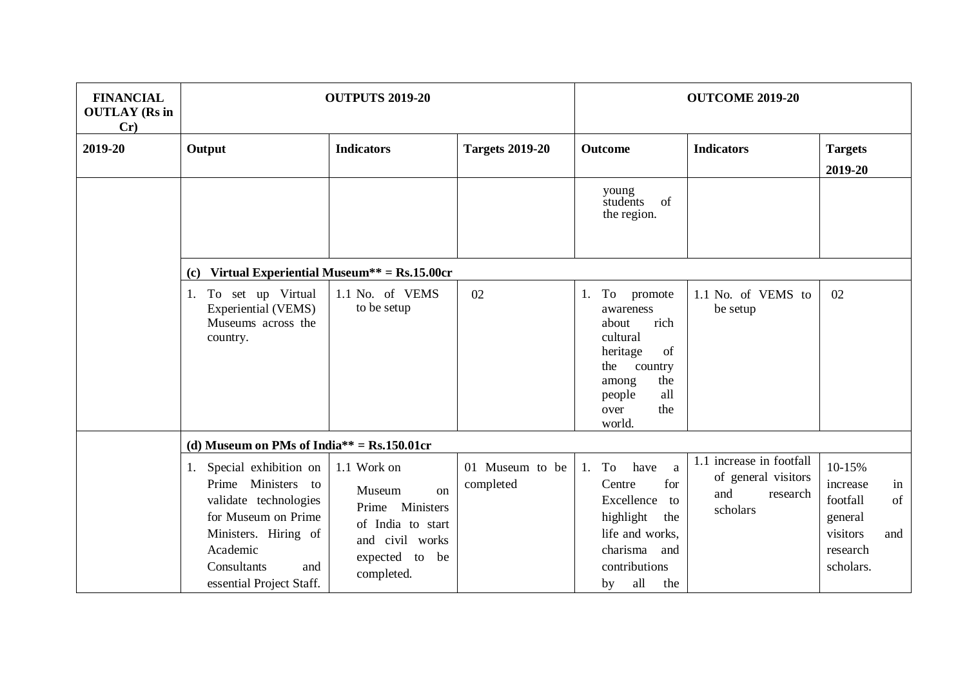| <b>FINANCIAL</b><br><b>OUTLAY</b> (Rs in<br>Cr) |                                                                                                                                                                                      | <b>OUTPUTS 2019-20</b>                                                                                                       |                              |                                                                                                                                                                   | <b>OUTCOME 2019-20</b>                                                         |                                                                                                   |  |  |
|-------------------------------------------------|--------------------------------------------------------------------------------------------------------------------------------------------------------------------------------------|------------------------------------------------------------------------------------------------------------------------------|------------------------------|-------------------------------------------------------------------------------------------------------------------------------------------------------------------|--------------------------------------------------------------------------------|---------------------------------------------------------------------------------------------------|--|--|
| 2019-20                                         | Output                                                                                                                                                                               | <b>Indicators</b>                                                                                                            | <b>Targets 2019-20</b>       | <b>Outcome</b>                                                                                                                                                    | <b>Indicators</b>                                                              | <b>Targets</b><br>2019-20                                                                         |  |  |
|                                                 |                                                                                                                                                                                      |                                                                                                                              |                              | young<br>students<br>of<br>the region.                                                                                                                            |                                                                                |                                                                                                   |  |  |
|                                                 | (c)                                                                                                                                                                                  | Virtual Experiential Museum** = $Rs.15.00cr$                                                                                 |                              |                                                                                                                                                                   |                                                                                |                                                                                                   |  |  |
|                                                 | To set up Virtual<br>1.<br><b>Experiential (VEMS)</b><br>Museums across the<br>country.                                                                                              | 1.1 No. of VEMS<br>to be setup                                                                                               | 02                           | To promote<br>1.<br>awareness<br>rich<br>about<br>cultural<br>of<br>heritage<br>the<br>country<br>the<br>among<br>all<br>people<br>the<br>over<br>world.          | 1.1 No. of VEMS to<br>be setup                                                 | 02                                                                                                |  |  |
|                                                 | (d) Museum on PMs of India** = $Rs.150.01$ cr                                                                                                                                        |                                                                                                                              |                              |                                                                                                                                                                   |                                                                                |                                                                                                   |  |  |
|                                                 | 1. Special exhibition on<br>Prime Ministers to<br>validate technologies<br>for Museum on Prime<br>Ministers. Hiring of<br>Academic<br>Consultants<br>and<br>essential Project Staff. | 1.1 Work on<br>Museum<br>$\alpha$<br>Prime Ministers<br>of India to start<br>and civil works<br>expected to be<br>completed. | 01 Museum to be<br>completed | To<br>have<br>1.<br><sub>a</sub><br>for<br>Centre<br>Excellence<br>to<br>highlight<br>the<br>life and works,<br>charisma and<br>contributions<br>all<br>the<br>by | 1.1 increase in footfall<br>of general visitors<br>and<br>research<br>scholars | 10-15%<br>increase<br>in<br>footfall<br>of<br>general<br>visitors<br>and<br>research<br>scholars. |  |  |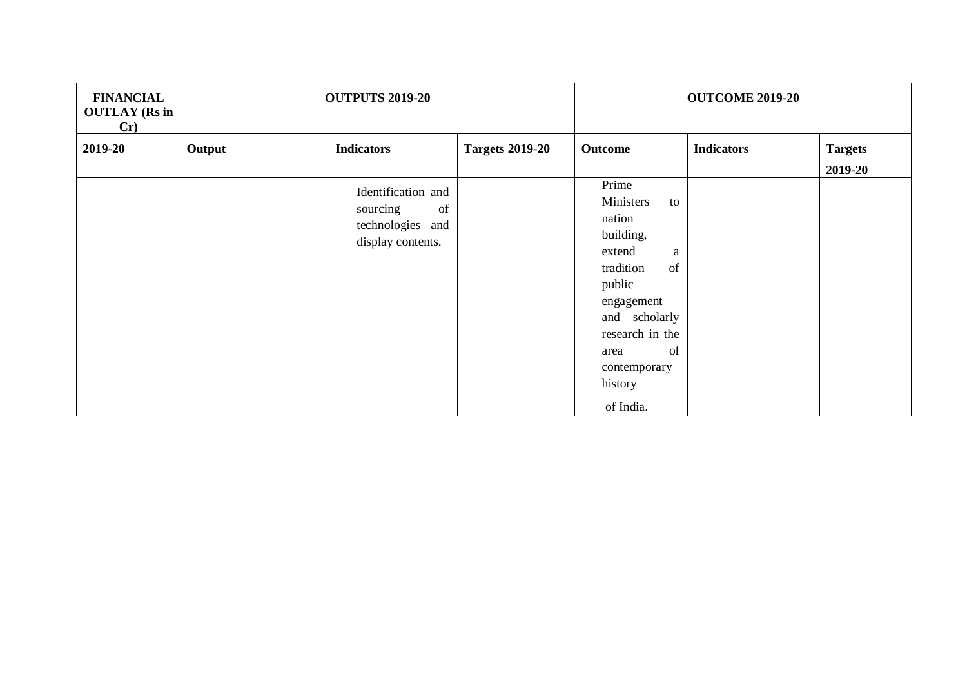| <b>FINANCIAL</b><br><b>OUTLAY</b> (Rs in<br>Cr) |        | <b>OUTPUTS 2019-20</b>                                                        |                        | <b>OUTCOME 2019-20</b>                                                                                                                                                                              |                   |                           |  |
|-------------------------------------------------|--------|-------------------------------------------------------------------------------|------------------------|-----------------------------------------------------------------------------------------------------------------------------------------------------------------------------------------------------|-------------------|---------------------------|--|
| 2019-20                                         | Output | <b>Indicators</b>                                                             | <b>Targets 2019-20</b> | Outcome                                                                                                                                                                                             | <b>Indicators</b> | <b>Targets</b><br>2019-20 |  |
|                                                 |        | Identification and<br>of<br>sourcing<br>technologies and<br>display contents. |                        | Prime<br>Ministers<br>to<br>nation<br>building,<br>extend<br>a<br>tradition<br>of<br>public<br>engagement<br>and scholarly<br>research in the<br>of<br>area<br>contemporary<br>history<br>of India. |                   |                           |  |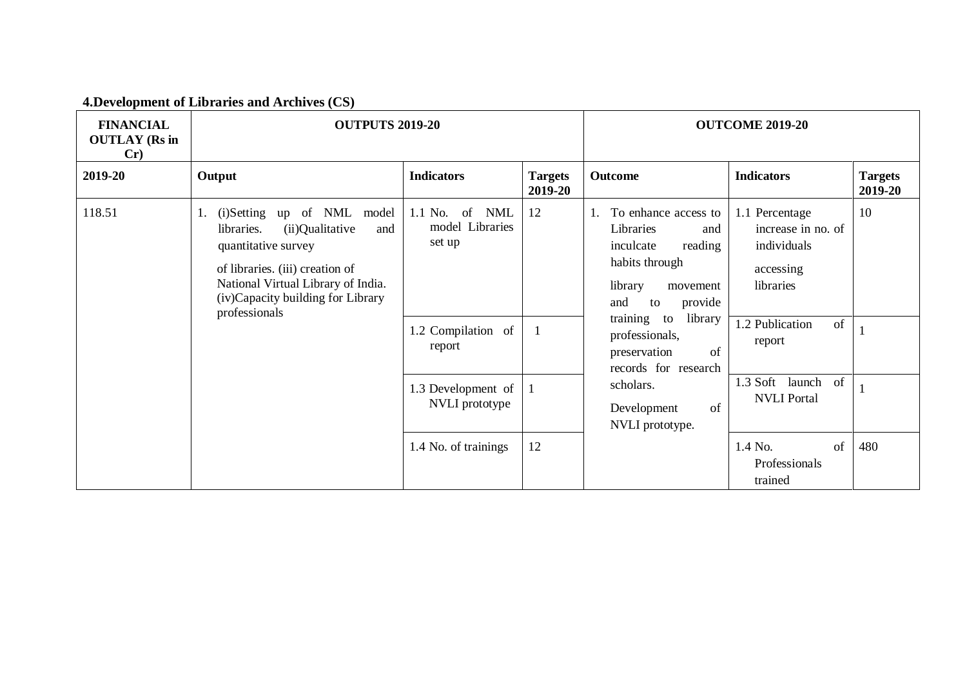## **4.Development of Libraries and Archives (CS)**

| <b>FINANCIAL</b><br><b>OUTLAY</b> (Rs in<br>Cr) | <b>OUTPUTS 2019-20</b>                                                                                                                                                                                                         |                                                                                |                           | <b>OUTCOME 2019-20</b>                                                                                                                                                                                                                                                           |                                                                                                                    |                           |  |
|-------------------------------------------------|--------------------------------------------------------------------------------------------------------------------------------------------------------------------------------------------------------------------------------|--------------------------------------------------------------------------------|---------------------------|----------------------------------------------------------------------------------------------------------------------------------------------------------------------------------------------------------------------------------------------------------------------------------|--------------------------------------------------------------------------------------------------------------------|---------------------------|--|
| 2019-20                                         | Output                                                                                                                                                                                                                         | <b>Indicators</b>                                                              | <b>Targets</b><br>2019-20 | Outcome                                                                                                                                                                                                                                                                          | <b>Indicators</b>                                                                                                  | <b>Targets</b><br>2019-20 |  |
| 118.51                                          | (i)Setting up of NML model<br>1.<br>(ii)Qualitative<br>libraries.<br>and<br>quantitative survey<br>of libraries. (iii) creation of<br>National Virtual Library of India.<br>(iv)Capacity building for Library<br>professionals | 1.1 No.<br>of NML<br>model Libraries<br>set up<br>1.2 Compilation of<br>report | 12                        | To enhance access to<br>Libraries<br>and<br>reading<br>inculcate<br>habits through<br>library<br>movement<br>provide<br>and<br>to<br>library<br>training to<br>professionals,<br>preservation<br>of<br>records for research<br>scholars.<br>of<br>Development<br>NVLI prototype. | 1.1 Percentage<br>increase in no. of<br>individuals<br>accessing<br>libraries<br>$1.2$ Publication<br>of<br>report | 10                        |  |
|                                                 |                                                                                                                                                                                                                                | 1.3 Development of<br>NVLI prototype                                           |                           |                                                                                                                                                                                                                                                                                  | 1.3 Soft<br>of<br>launch<br><b>NVLI</b> Portal                                                                     |                           |  |
|                                                 |                                                                                                                                                                                                                                | 1.4 No. of trainings                                                           | 12                        |                                                                                                                                                                                                                                                                                  | 1.4 No.<br>of<br>Professionals<br>trained                                                                          | 480                       |  |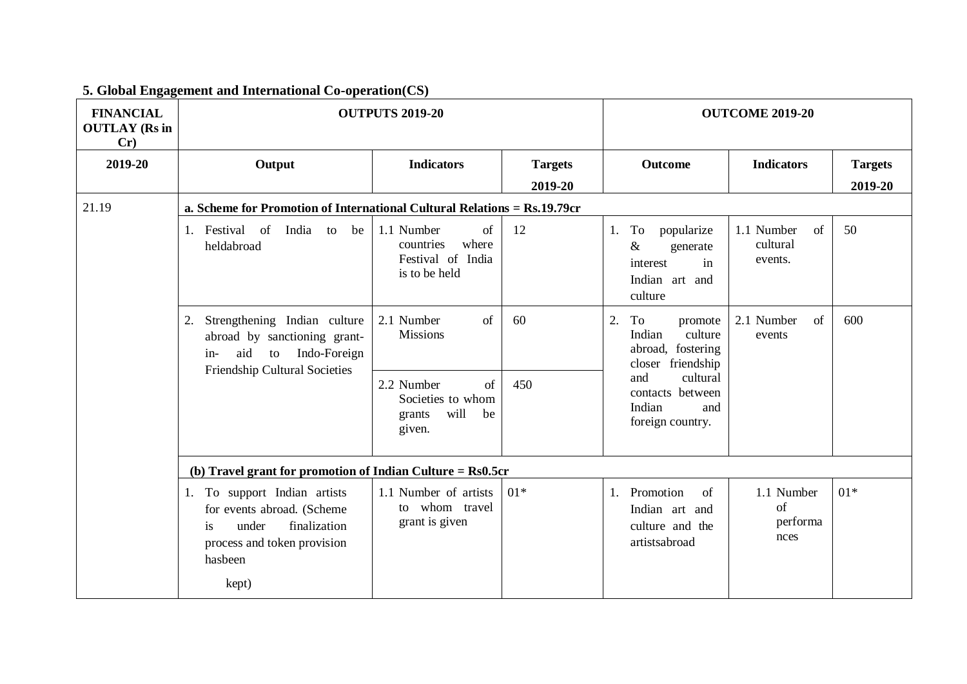| <b>FINANCIAL</b><br><b>OUTLAY</b> (Rs in<br>Cr) | <b>OUTPUTS 2019-20</b>                                                                                                                       | <b>OUTCOME 2019-20</b>                                                          |                           |                                                                                           |                                         |                           |
|-------------------------------------------------|----------------------------------------------------------------------------------------------------------------------------------------------|---------------------------------------------------------------------------------|---------------------------|-------------------------------------------------------------------------------------------|-----------------------------------------|---------------------------|
| 2019-20                                         | Output                                                                                                                                       | <b>Indicators</b>                                                               | <b>Targets</b><br>2019-20 | <b>Outcome</b>                                                                            | <b>Indicators</b>                       | <b>Targets</b><br>2019-20 |
| 21.19                                           | a. Scheme for Promotion of International Cultural Relations = Rs.19.79cr                                                                     |                                                                                 |                           |                                                                                           |                                         |                           |
|                                                 | 1. Festival of<br>India to be<br>heldabroad                                                                                                  | 1.1 Number<br>of<br>where<br>countries<br>Festival of India<br>is to be held    | 12                        | To<br>popularize<br>1.<br>$\&$<br>generate<br>in<br>interest<br>Indian art and<br>culture | 1.1 Number<br>of<br>cultural<br>events. | 50                        |
|                                                 | Strengthening Indian culture<br>2.<br>abroad by sanctioning grant-<br>aid<br>Indo-Foreign<br>to<br>$in-$<br>Friendship Cultural Societies    | of<br>2.1 Number<br><b>Missions</b>                                             | 60                        | 2.<br>To<br>promote<br>Indian<br>culture<br>abroad, fostering<br>closer friendship        | 2.1 Number<br>of<br>events              | 600                       |
|                                                 |                                                                                                                                              | $\sigma$ f<br>2.2 Number<br>Societies to whom<br>will<br>be<br>grants<br>given. | 450                       | and<br>cultural<br>contacts between<br>Indian<br>and<br>foreign country.                  |                                         |                           |
|                                                 | (b) Travel grant for promotion of Indian Culture = $Rs0.5cr$                                                                                 |                                                                                 |                           |                                                                                           |                                         |                           |
|                                                 | 1. To support Indian artists<br>for events abroad. (Scheme<br>finalization<br>under<br>is<br>process and token provision<br>hasbeen<br>kept) | 1.1 Number of artists<br>to whom travel<br>grant is given                       | $01*$                     | Promotion<br>of<br>1.<br>Indian art and<br>culture and the<br>artistsabroad               | 1.1 Number<br>of<br>performa<br>nces    | $01*$                     |

## **5. Global Engagement and International Co-operation(CS)**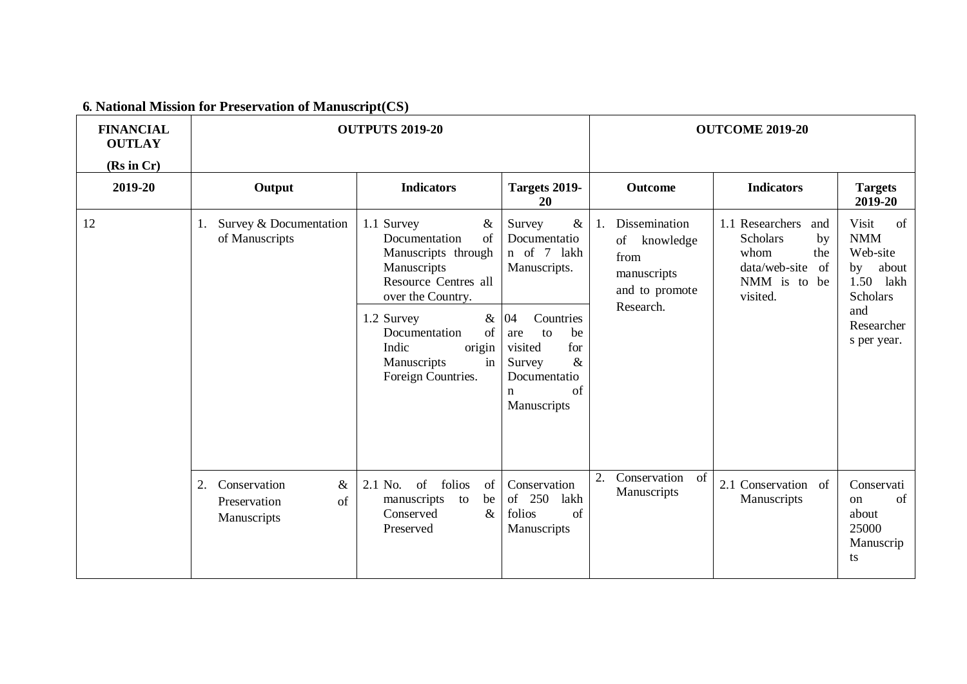|  |  |  |  |  |  | 6. National Mission for Preservation of Manuscript(CS) |
|--|--|--|--|--|--|--------------------------------------------------------|
|--|--|--|--|--|--|--------------------------------------------------------|

| <b>FINANCIAL</b><br><b>OUTLAY</b><br>(Rs in Cr) | <b>OUTPUTS 2019-20</b>                                          |                                                                                                                                                                                                                                 |                                                                                                                                                                                               | <b>OUTCOME 2019-20</b>                                                                       |                                                                                                                   |                                                                                                                                   |  |
|-------------------------------------------------|-----------------------------------------------------------------|---------------------------------------------------------------------------------------------------------------------------------------------------------------------------------------------------------------------------------|-----------------------------------------------------------------------------------------------------------------------------------------------------------------------------------------------|----------------------------------------------------------------------------------------------|-------------------------------------------------------------------------------------------------------------------|-----------------------------------------------------------------------------------------------------------------------------------|--|
| 2019-20                                         | Output                                                          | <b>Indicators</b>                                                                                                                                                                                                               | Targets 2019-<br>20                                                                                                                                                                           | <b>Outcome</b>                                                                               | <b>Indicators</b>                                                                                                 | <b>Targets</b><br>2019-20                                                                                                         |  |
| 12                                              | Survey & Documentation<br>1.<br>of Manuscripts                  | 1.1 Survey<br>$\&$<br>of<br>Documentation<br>Manuscripts through<br>Manuscripts<br>Resource Centres all<br>over the Country.<br>1.2 Survey<br>of<br>Documentation<br>origin<br>Indic<br>Manuscripts<br>in<br>Foreign Countries. | $\&$<br>Survey<br>Documentatio<br>n of 7 lakh<br>Manuscripts.<br>& 04<br>Countries<br>to<br>be<br>are<br>for<br>visited<br>$\&$<br>Survey<br>Documentatio<br>of<br>$\mathbf n$<br>Manuscripts | Dissemination<br>1.<br>of<br>knowledge<br>from<br>manuscripts<br>and to promote<br>Research. | 1.1 Researchers<br>and<br><b>Scholars</b><br>by<br>whom<br>the<br>data/web-site<br>of<br>NMM is to be<br>visited. | Visit<br>$\alpha$<br><b>NMM</b><br>Web-site<br>about<br>by<br>1.50<br>lakh<br><b>Scholars</b><br>and<br>Researcher<br>s per year. |  |
|                                                 | Conservation<br>2.<br>$\&$<br>Preservation<br>of<br>Manuscripts | of<br>folios<br>2.1 No.<br>of<br>be<br>manuscripts to<br>Conserved<br>$\&$<br>Preserved                                                                                                                                         | Conservation<br>of 250<br>lakh<br>folios<br>of<br>Manuscripts                                                                                                                                 | Conservation<br>2.<br>of<br>Manuscripts                                                      | 2.1 Conservation of<br>Manuscripts                                                                                | Conservati<br>of<br>$_{\rm on}$<br>about<br>25000<br>Manuscrip<br>ts                                                              |  |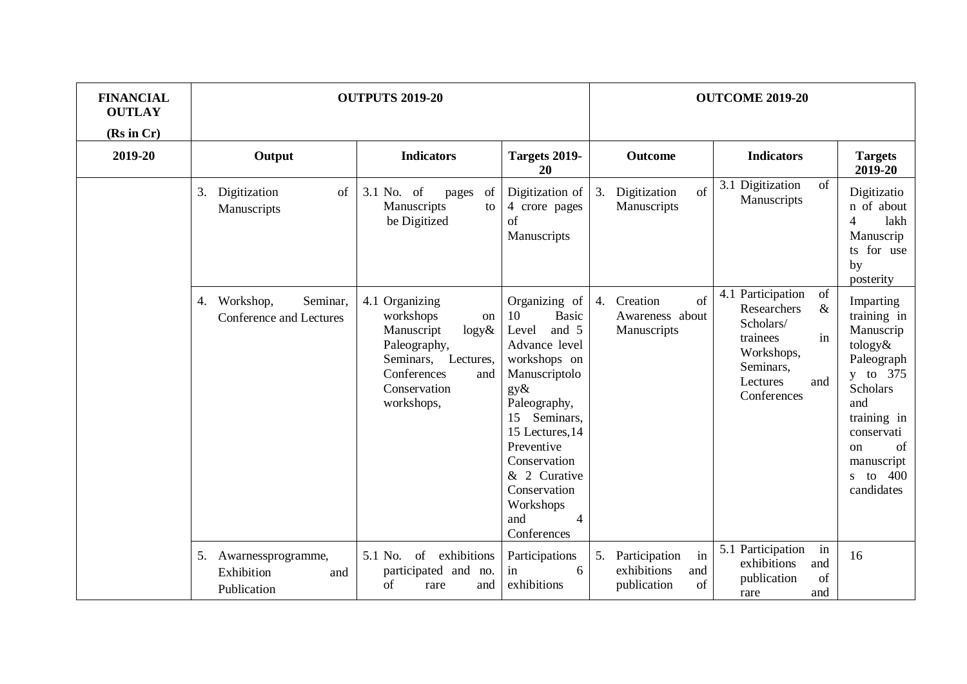| <b>FINANCIAL</b><br><b>OUTLAY</b><br>(Rs in Cr) |                                                               | <b>OUTPUTS 2019-20</b>                                                                                                                                       |                                                                                                                                                                                                                                                                                            |                                                                      | <b>OUTCOME 2019-20</b>                                                                                                                     |                                                                                                                                                                                                     |  |  |
|-------------------------------------------------|---------------------------------------------------------------|--------------------------------------------------------------------------------------------------------------------------------------------------------------|--------------------------------------------------------------------------------------------------------------------------------------------------------------------------------------------------------------------------------------------------------------------------------------------|----------------------------------------------------------------------|--------------------------------------------------------------------------------------------------------------------------------------------|-----------------------------------------------------------------------------------------------------------------------------------------------------------------------------------------------------|--|--|
| 2019-20                                         | Output                                                        | <b>Indicators</b>                                                                                                                                            | Targets 2019-<br>20                                                                                                                                                                                                                                                                        | Outcome                                                              | <b>Indicators</b>                                                                                                                          | <b>Targets</b><br>2019-20                                                                                                                                                                           |  |  |
|                                                 | of<br>3.<br>Digitization<br>Manuscripts                       | 3.1 No. of<br>of<br>pages<br>Manuscripts<br>to<br>be Digitized                                                                                               | Digitization of<br>4 crore pages<br>of<br>Manuscripts                                                                                                                                                                                                                                      | 3.<br>Digitization<br>of<br>Manuscripts                              | 3.1 Digitization<br>of<br>Manuscripts                                                                                                      | Digitizatio<br>n of about<br>$\overline{4}$<br>lakh<br>Manuscrip<br>for use<br>ts.<br>by<br>posterity                                                                                               |  |  |
|                                                 | Workshop,<br>Seminar.<br>4.<br><b>Conference and Lectures</b> | 4.1 Organizing<br>workshops<br>on<br>Manuscript<br>$\log y \&$<br>Paleography,<br>Lectures,<br>Seminars,<br>Conferences<br>and<br>Conservation<br>workshops, | Organizing of<br><b>Basic</b><br>10<br>and 5<br>Level<br>Advance level<br>workshops on<br>Manuscriptolo<br>$gy\&$<br>Paleography,<br>Seminars,<br>15<br>15 Lectures, 14<br>Preventive<br>Conservation<br>& 2 Curative<br>Conservation<br>Workshops<br>and<br>$\overline{4}$<br>Conferences | 4.<br>Creation<br>of<br>Awareness about<br>Manuscripts               | 4.1 Participation<br>of<br>$\&$<br>Researchers<br>Scholars/<br>in<br>trainees<br>Workshops,<br>Seminars,<br>Lectures<br>and<br>Conferences | Imparting<br>training in<br>Manuscrip<br>tology&<br>Paleograph<br>y to 375<br><b>Scholars</b><br>and<br>training in<br>conservati<br>of<br><sub>on</sub><br>manuscript<br>400<br>s to<br>candidates |  |  |
|                                                 | 5.<br>Awarnessprogramme,<br>Exhibition<br>and<br>Publication  | 5.1 No.<br>$\sigma$<br>exhibitions<br>participated and no.<br>of<br>rare<br>and                                                                              | Participations<br>in<br>6<br>exhibitions                                                                                                                                                                                                                                                   | Participation<br>in<br>5.<br>exhibitions<br>and<br>publication<br>of | 5.1 Participation<br>in<br>exhibitions<br>and<br>publication<br>of<br>and<br>rare                                                          | 16                                                                                                                                                                                                  |  |  |